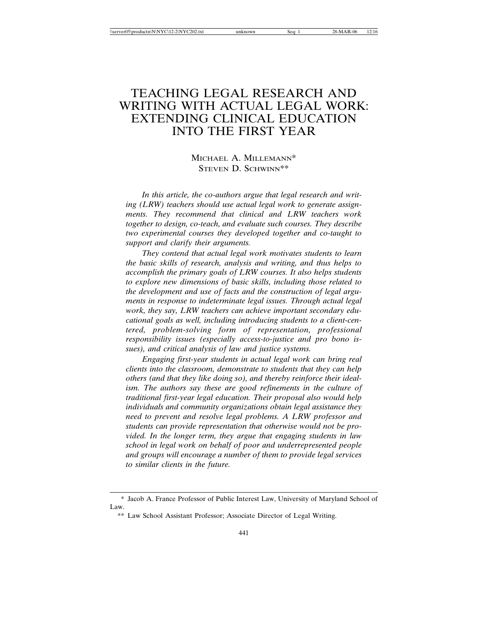# TEACHING LEGAL RESEARCH AND WRITING WITH ACTUAL LEGAL WORK: EXTENDING CLINICAL EDUCATION INTO THE FIRST YEAR

# MICHAEL A. MILLEMANN\* STEVEN D. SCHWINN\*\*

*In this article, the co-authors argue that legal research and writing (LRW) teachers should use actual legal work to generate assignments. They recommend that clinical and LRW teachers work together to design, co-teach, and evaluate such courses. They describe two experimental courses they developed together and co-taught to support and clarify their arguments.*

*They contend that actual legal work motivates students to learn the basic skills of research, analysis and writing, and thus helps to accomplish the primary goals of LRW courses. It also helps students to explore new dimensions of basic skills, including those related to the development and use of facts and the construction of legal arguments in response to indeterminate legal issues. Through actual legal work, they say, LRW teachers can achieve important secondary educational goals as well, including introducing students to a client-centered, problem-solving form of representation, professional responsibility issues (especially access-to-justice and pro bono issues), and critical analysis of law and justice systems.*

*Engaging first-year students in actual legal work can bring real clients into the classroom, demonstrate to students that they can help others (and that they like doing so), and thereby reinforce their idealism. The authors say these are good refinements in the culture of traditional first-year legal education. Their proposal also would help individuals and community organizations obtain legal assistance they need to prevent and resolve legal problems. A LRW professor and students can provide representation that otherwise would not be provided. In the longer term, they argue that engaging students in law school in legal work on behalf of poor and underrepresented people and groups will encourage a number of them to provide legal services to similar clients in the future.*

<sup>\*</sup> Jacob A. France Professor of Public Interest Law, University of Maryland School of Law.

<sup>\*\*</sup> Law School Assistant Professor; Associate Director of Legal Writing.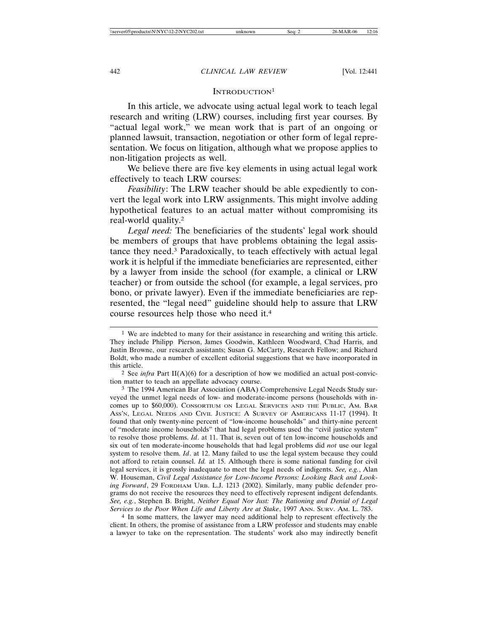# INTRODUCTION<sup>1</sup>

In this article, we advocate using actual legal work to teach legal research and writing (LRW) courses, including first year courses. By "actual legal work," we mean work that is part of an ongoing or planned lawsuit, transaction, negotiation or other form of legal representation. We focus on litigation, although what we propose applies to non-litigation projects as well.

We believe there are five key elements in using actual legal work effectively to teach LRW courses:

*Feasibility*: The LRW teacher should be able expediently to convert the legal work into LRW assignments. This might involve adding hypothetical features to an actual matter without compromising its real-world quality.2

*Legal need:* The beneficiaries of the students' legal work should be members of groups that have problems obtaining the legal assistance they need.3 Paradoxically, to teach effectively with actual legal work it is helpful if the immediate beneficiaries are represented, either by a lawyer from inside the school (for example, a clinical or LRW teacher) or from outside the school (for example, a legal services, pro bono, or private lawyer). Even if the immediate beneficiaries are represented, the "legal need" guideline should help to assure that LRW course resources help those who need it.4

4 In some matters, the lawyer may need additional help to represent effectively the client. In others, the promise of assistance from a LRW professor and students may enable a lawyer to take on the representation. The students' work also may indirectly benefit

<sup>&</sup>lt;sup>1</sup> We are indebted to many for their assistance in researching and writing this article. They include Philipp Pierson, James Goodwin, Kathleen Woodward, Chad Harris, and Justin Browne, our research assistants; Susan G. McCarty, Research Fellow; and Richard Boldt, who made a number of excellent editorial suggestions that we have incorporated in this article.

<sup>&</sup>lt;sup>2</sup> See *infra* Part II(A)(6) for a description of how we modified an actual post-conviction matter to teach an appellate advocacy course.

<sup>3</sup> The 1994 American Bar Association (ABA) Comprehensive Legal Needs Study surveyed the unmet legal needs of low- and moderate-income persons (households with incomes up to \$60,000). CONSORTIUM ON LEGAL SERVICES AND THE PUBLIC, AM. BAR ASS'N, LEGAL NEEDS AND CIVIL JUSTICE: A SURVEY OF AMERICANS 11-17 (1994). It found that only twenty-nine percent of "low-income households" and thirty-nine percent of "moderate income households" that had legal problems used the "civil justice system" to resolve those problems. *Id*. at 11. That is, seven out of ten low-income households and six out of ten moderate-income households that had legal problems did *not* use our legal system to resolve them. *Id*. at 12. Many failed to use the legal system because they could not afford to retain counsel. *Id.* at 15. Although there is some national funding for civil legal services, it is grossly inadequate to meet the legal needs of indigents. *See, e.g.*, Alan W. Houseman, *Civil Legal Assistance for Low-Income Persons: Looking Back and Looking Forward*, 29 FORDHAM URB. L.J. 1213 (2002). Similarly, many public defender programs do not receive the resources they need to effectively represent indigent defendants. *See, e.g.*, Stephen B. Bright, *Neither Equal Nor Just: The Rationing and Denial of Legal Services to the Poor When Life and Liberty Are at Stake*, 1997 ANN. SURV. AM. L. 783.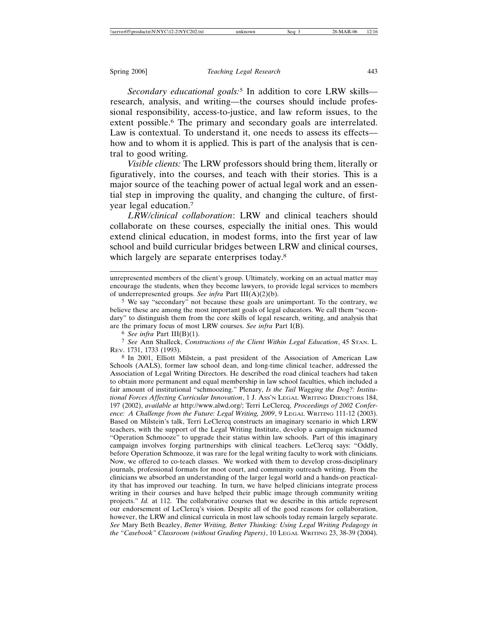*Secondary educational goals:*5 In addition to core LRW skills research, analysis, and writing—the courses should include professional responsibility, access-to-justice, and law reform issues, to the extent possible.<sup>6</sup> The primary and secondary goals are interrelated. Law is contextual. To understand it, one needs to assess its effects how and to whom it is applied. This is part of the analysis that is central to good writing.

*Visible clients:* The LRW professors should bring them, literally or figuratively, into the courses, and teach with their stories. This is a major source of the teaching power of actual legal work and an essential step in improving the quality, and changing the culture, of firstyear legal education.7

*LRW/clinical collaboration*: LRW and clinical teachers should collaborate on these courses, especially the initial ones. This would extend clinical education, in modest forms, into the first year of law school and build curricular bridges between LRW and clinical courses, which largely are separate enterprises today.<sup>8</sup>

6 *See infra* Part III(B)(1).

7 *See* Ann Shalleck, *Constructions of the Client Within Legal Education*, 45 STAN. L. REV. 1731, 1733 (1993).

8 In 2001, Elliott Milstein, a past president of the Association of American Law Schools (AALS), former law school dean, and long-time clinical teacher, addressed the Association of Legal Writing Directors. He described the road clinical teachers had taken to obtain more permanent and equal membership in law school faculties, which included a fair amount of institutional "schmoozing." Plenary, *Is the Tail Wagging the Dog?: Institutional Forces Affecting Curricular Innovation*, 1 J. ASS'N LEGAL WRITING DIRECTORS 184, 197 (2002), *available at* http://www.alwd.org/; Terri LeClercq, *Proceedings of 2002 Conference: A Challenge from the Future: Legal Writing, 2009*, 9 LEGAL WRITING 111-12 (2003). Based on Milstein's talk, Terri LeClercq constructs an imaginary scenario in which LRW teachers, with the support of the Legal Writing Institute, develop a campaign nicknamed "Operation Schmooze" to upgrade their status within law schools. Part of this imaginary campaign involves forging partnerships with clinical teachers. LeClercq says: "Oddly, before Operation Schmooze, it was rare for the legal writing faculty to work with clinicians. Now, we offered to co-teach classes. We worked with them to develop cross-disciplinary journals, professional formats for moot court, and community outreach writing. From the clinicians we absorbed an understanding of the larger legal world and a hands-on practicality that has improved our teaching. In turn, we have helped clinicians integrate process writing in their courses and have helped their public image through community writing projects." *Id.* at 112. The collaborative courses that we describe in this article represent our endorsement of LeClercq's vision. Despite all of the good reasons for collaboration, however, the LRW and clinical curricula in most law schools today remain largely separate. *See* Mary Beth Beazley, *Better Writing, Better Thinking: Using Legal Writing Pedagogy in the "Casebook" Classroom (without Grading Papers)*, 10 LEGAL WRITING 23, 38-39 (2004).

unrepresented members of the client's group. Ultimately, working on an actual matter may encourage the students, when they become lawyers, to provide legal services to members of underrepresented groups. *See infra* Part III(A)(2)(b).

<sup>5</sup> We say "secondary" not because these goals are unimportant. To the contrary, we believe these are among the most important goals of legal educators. We call them "secondary" to distinguish them from the core skills of legal research, writing, and analysis that are the primary focus of most LRW courses. *See infra* Part I(B).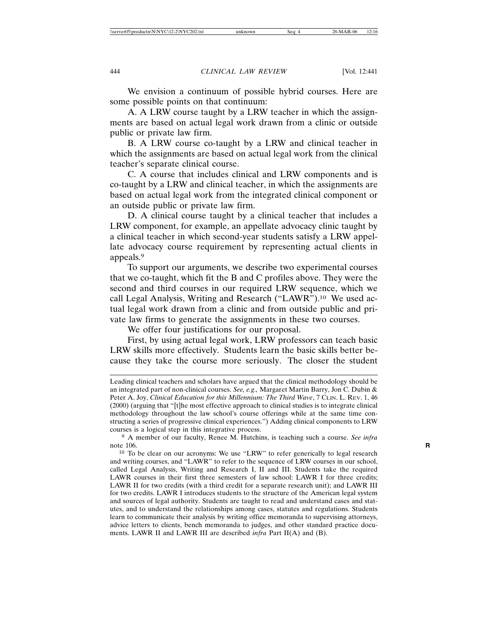We envision a continuum of possible hybrid courses. Here are some possible points on that continuum:

A. A LRW course taught by a LRW teacher in which the assignments are based on actual legal work drawn from a clinic or outside public or private law firm.

B. A LRW course co-taught by a LRW and clinical teacher in which the assignments are based on actual legal work from the clinical teacher's separate clinical course.

C. A course that includes clinical and LRW components and is co-taught by a LRW and clinical teacher, in which the assignments are based on actual legal work from the integrated clinical component or an outside public or private law firm.

D. A clinical course taught by a clinical teacher that includes a LRW component, for example, an appellate advocacy clinic taught by a clinical teacher in which second-year students satisfy a LRW appellate advocacy course requirement by representing actual clients in appeals.9

To support our arguments, we describe two experimental courses that we co-taught, which fit the B and C profiles above. They were the second and third courses in our required LRW sequence, which we call Legal Analysis, Writing and Research ("LAWR").10 We used actual legal work drawn from a clinic and from outside public and private law firms to generate the assignments in these two courses.

We offer four justifications for our proposal.

First, by using actual legal work, LRW professors can teach basic LRW skills more effectively. Students learn the basic skills better because they take the course more seriously. The closer the student

Leading clinical teachers and scholars have argued that the clinical methodology should be an integrated part of non-clinical courses. *See, e.g.,* Margaret Martin Barry, Jon C. Dubin & Peter A. Joy, *Clinical Education for this Millennium: The Third Wave*, 7 CLIN. L. REV. 1, 46 (2000) (arguing that "[t]he most effective approach to clinical studies is to integrate clinical methodology throughout the law school's course offerings while at the same time constructing a series of progressive clinical experiences.") Adding clinical components to LRW courses is a logical step in this integrative process.

<sup>9</sup> A member of our faculty, Renee M. Hutchins, is teaching such a course. *See infra* note 106. **R** 

<sup>10</sup> To be clear on our acronyms: We use "LRW" to refer generically to legal research and writing courses, and "LAWR" to refer to the sequence of LRW courses in our school, called Legal Analysis, Writing and Research I, II and III. Students take the required LAWR courses in their first three semesters of law school: LAWR I for three credits; LAWR II for two credits (with a third credit for a separate research unit); and LAWR III for two credits. LAWR I introduces students to the structure of the American legal system and sources of legal authority. Students are taught to read and understand cases and statutes, and to understand the relationships among cases, statutes and regulations. Students learn to communicate their analysis by writing office memoranda to supervising attorneys, advice letters to clients, bench memoranda to judges, and other standard practice documents. LAWR II and LAWR III are described *infra* Part II(A) and (B).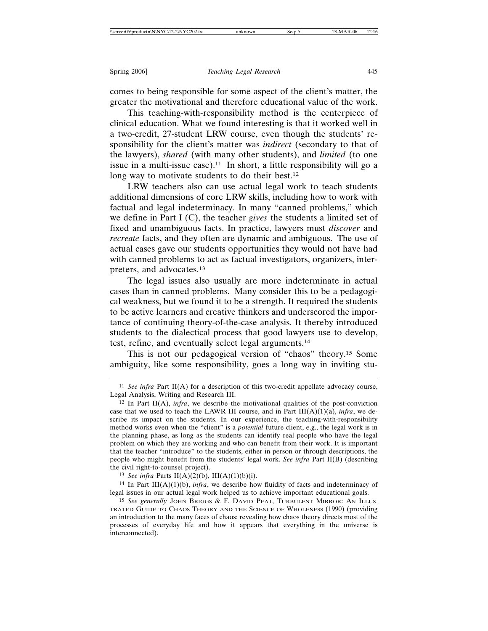comes to being responsible for some aspect of the client's matter, the greater the motivational and therefore educational value of the work.

This teaching-with-responsibility method is the centerpiece of clinical education. What we found interesting is that it worked well in a two-credit, 27-student LRW course, even though the students' responsibility for the client's matter was *indirect* (secondary to that of the lawyers), *shared* (with many other students), and *limited* (to one issue in a multi-issue case).<sup>11</sup> In short, a little responsibility will go a long way to motivate students to do their best.<sup>12</sup>

LRW teachers also can use actual legal work to teach students additional dimensions of core LRW skills, including how to work with factual and legal indeterminacy. In many "canned problems," which we define in Part I (C), the teacher *gives* the students a limited set of fixed and unambiguous facts. In practice, lawyers must *discover* and *recreate* facts, and they often are dynamic and ambiguous. The use of actual cases gave our students opportunities they would not have had with canned problems to act as factual investigators, organizers, interpreters, and advocates.13

The legal issues also usually are more indeterminate in actual cases than in canned problems. Many consider this to be a pedagogical weakness, but we found it to be a strength. It required the students to be active learners and creative thinkers and underscored the importance of continuing theory-of-the-case analysis. It thereby introduced students to the dialectical process that good lawyers use to develop, test, refine, and eventually select legal arguments.14

This is not our pedagogical version of "chaos" theory.15 Some ambiguity, like some responsibility, goes a long way in inviting stu-

<sup>11</sup> *See infra* Part II(A) for a description of this two-credit appellate advocacy course, Legal Analysis, Writing and Research III.

<sup>&</sup>lt;sup>12</sup> In Part II(A), *infra*, we describe the motivational qualities of the post-conviction case that we used to teach the LAWR III course, and in Part  $III(A)(1)(a)$ , *infra*, we describe its impact on the students. In our experience, the teaching-with-responsibility method works even when the "client" is a *potential* future client, e.g., the legal work is in the planning phase, as long as the students can identify real people who have the legal problem on which they are working and who can benefit from their work. It is important that the teacher "introduce" to the students, either in person or through descriptions, the people who might benefit from the students' legal work. *See infra* Part II(B) (describing the civil right-to-counsel project).

<sup>13</sup> *See infra* Parts II(A)(2)(b), III(A)(1)(b)(i).

<sup>&</sup>lt;sup>14</sup> In Part III(A)(1)(b), *infra*, we describe how fluidity of facts and indeterminacy of legal issues in our actual legal work helped us to achieve important educational goals.

<sup>15</sup> *See generally* JOHN BRIGGS & F. DAVID PEAT, TURBULENT MIRROR: AN ILLUS-TRATED GUIDE TO CHAOS THEORY AND THE SCIENCE OF WHOLENESS (1990) (providing an introduction to the many faces of chaos; revealing how chaos theory directs most of the processes of everyday life and how it appears that everything in the universe is interconnected).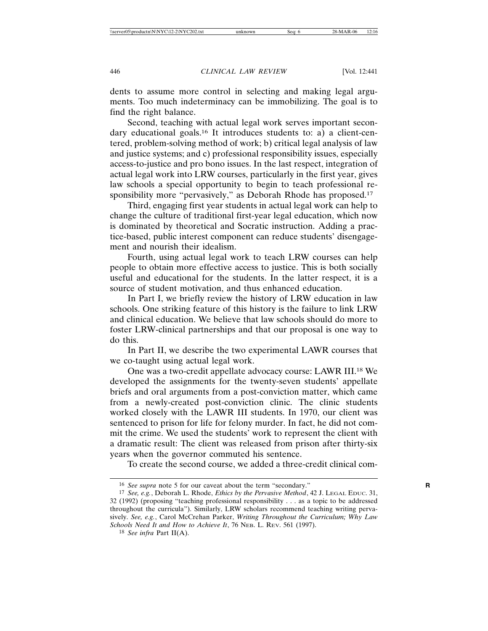dents to assume more control in selecting and making legal arguments. Too much indeterminacy can be immobilizing. The goal is to find the right balance.

Second, teaching with actual legal work serves important secondary educational goals.<sup>16</sup> It introduces students to: a) a client-centered, problem-solving method of work; b) critical legal analysis of law and justice systems; and c) professional responsibility issues, especially access-to-justice and pro bono issues. In the last respect, integration of actual legal work into LRW courses, particularly in the first year, gives law schools a special opportunity to begin to teach professional responsibility more "pervasively," as Deborah Rhode has proposed.<sup>17</sup>

Third, engaging first year students in actual legal work can help to change the culture of traditional first-year legal education, which now is dominated by theoretical and Socratic instruction. Adding a practice-based, public interest component can reduce students' disengagement and nourish their idealism.

Fourth, using actual legal work to teach LRW courses can help people to obtain more effective access to justice. This is both socially useful and educational for the students. In the latter respect, it is a source of student motivation, and thus enhanced education.

In Part I, we briefly review the history of LRW education in law schools. One striking feature of this history is the failure to link LRW and clinical education. We believe that law schools should do more to foster LRW-clinical partnerships and that our proposal is one way to do this.

In Part II, we describe the two experimental LAWR courses that we co-taught using actual legal work.

One was a two-credit appellate advocacy course: LAWR III.18 We developed the assignments for the twenty-seven students' appellate briefs and oral arguments from a post-conviction matter, which came from a newly-created post-conviction clinic. The clinic students worked closely with the LAWR III students. In 1970, our client was sentenced to prison for life for felony murder. In fact, he did not commit the crime. We used the students' work to represent the client with a dramatic result: The client was released from prison after thirty-six years when the governor commuted his sentence.

To create the second course, we added a three-credit clinical com-

<sup>16</sup> *See supra* note 5 for our caveat about the term "secondary." **R**

<sup>17</sup> *See, e.g.*, Deborah L. Rhode, *Ethics by the Pervasive Method*, 42 J. LEGAL EDUC. 31, 32 (1992) (proposing "teaching professional responsibility . . . as a topic to be addressed throughout the curricula"). Similarly, LRW scholars recommend teaching writing pervasively. *See, e.g.*, Carol McCrehan Parker, *Writing Throughout the Curriculum; Why Law Schools Need It and How to Achieve It*, 76 NEB. L. REV. 561 (1997).

<sup>18</sup> *See infra* Part II(A).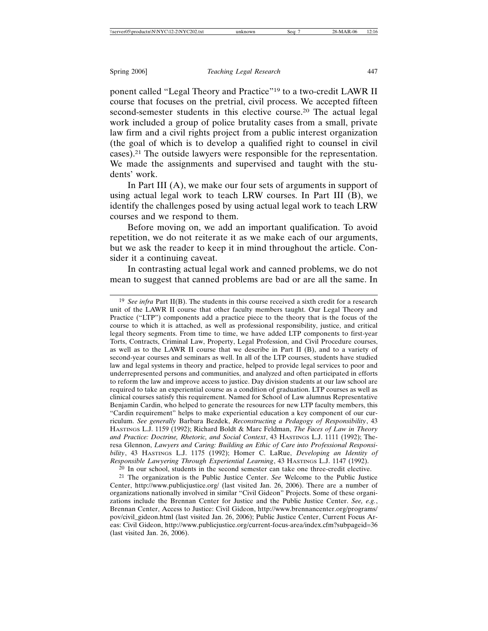ponent called "Legal Theory and Practice"19 to a two-credit LAWR II course that focuses on the pretrial, civil process. We accepted fifteen second-semester students in this elective course.20 The actual legal work included a group of police brutality cases from a small, private law firm and a civil rights project from a public interest organization (the goal of which is to develop a qualified right to counsel in civil cases).21 The outside lawyers were responsible for the representation. We made the assignments and supervised and taught with the students' work.

In Part III (A), we make our four sets of arguments in support of using actual legal work to teach LRW courses. In Part III (B), we identify the challenges posed by using actual legal work to teach LRW courses and we respond to them.

Before moving on, we add an important qualification. To avoid repetition, we do not reiterate it as we make each of our arguments, but we ask the reader to keep it in mind throughout the article. Consider it a continuing caveat.

In contrasting actual legal work and canned problems, we do not mean to suggest that canned problems are bad or are all the same. In

20 In our school, students in the second semester can take one three-credit elective.

21 The organization is the Public Justice Center. *See* Welcome to the Public Justice Center, http://www.publicjustice.org/ (last visited Jan. 26, 2006). There are a number of organizations nationally involved in similar "Civil Gideon" Projects. Some of these organizations include the Brennan Center for Justice and the Public Justice Center. *See, e.g.*, Brennan Center, Access to Justice: Civil Gideon, http://www.brennancenter.org/programs/ pov/civil\_gideon.html (last visited Jan. 26, 2006); Public Justice Center, Current Focus Areas: Civil Gideon, http://www.publicjustice.org/current-focus-area/index.cfm?subpageid=36 (last visited Jan. 26, 2006).

<sup>&</sup>lt;sup>19</sup> *See infra* Part II(B). The students in this course received a sixth credit for a research unit of the LAWR II course that other faculty members taught. Our Legal Theory and Practice ("LTP") components add a practice piece to the theory that is the focus of the course to which it is attached, as well as professional responsibility, justice, and critical legal theory segments. From time to time, we have added LTP components to first-year Torts, Contracts, Criminal Law, Property, Legal Profession, and Civil Procedure courses, as well as to the LAWR II course that we describe in Part II (B), and to a variety of second-year courses and seminars as well. In all of the LTP courses, students have studied law and legal systems in theory and practice, helped to provide legal services to poor and underrepresented persons and communities, and analyzed and often participated in efforts to reform the law and improve access to justice. Day division students at our law school are required to take an experiential course as a condition of graduation. LTP courses as well as clinical courses satisfy this requirement. Named for School of Law alumnus Representative Benjamin Cardin, who helped to generate the resources for new LTP faculty members, this "Cardin requirement" helps to make experiential education a key component of our curriculum. *See generally* Barbara Bezdek, *Reconstructing a Pedagogy of Responsibility*, 43 HASTINGS L.J. 1159 (1992); Richard Boldt & Marc Feldman, *The Faces of Law in Theory and Practice: Doctrine, Rhetoric, and Social Context*, 43 HASTINGS L.J. 1111 (1992); Theresa Glennon, *Lawyers and Caring: Building an Ethic of Care into Professional Responsibility*, 43 HASTINGS L.J. 1175 (1992); Homer C. LaRue, *Developing an Identity of Responsible Lawyering Through Experiential Learning*, 43 HASTINGS L.J. 1147 (1992).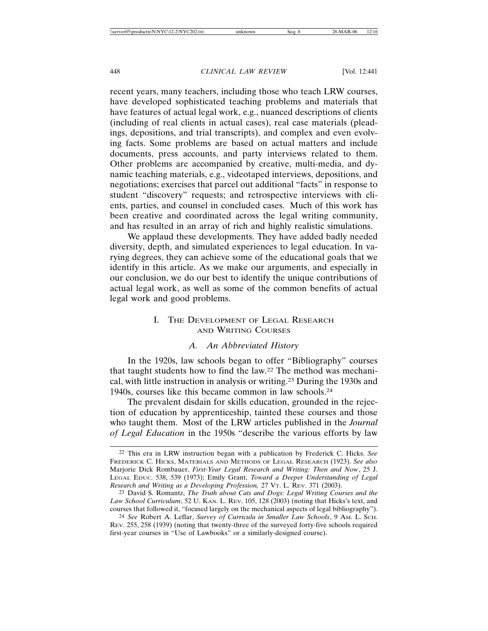recent years, many teachers, including those who teach LRW courses, have developed sophisticated teaching problems and materials that have features of actual legal work, e.g., nuanced descriptions of clients (including of real clients in actual cases), real case materials (pleadings, depositions, and trial transcripts), and complex and even evolving facts. Some problems are based on actual matters and include documents, press accounts, and party interviews related to them. Other problems are accompanied by creative, multi-media, and dynamic teaching materials, e.g., videotaped interviews, depositions, and negotiations; exercises that parcel out additional "facts" in response to student "discovery" requests; and retrospective interviews with clients, parties, and counsel in concluded cases. Much of this work has been creative and coordinated across the legal writing community, and has resulted in an array of rich and highly realistic simulations.

We applaud these developments. They have added badly needed diversity, depth, and simulated experiences to legal education. In varying degrees, they can achieve some of the educational goals that we identify in this article. As we make our arguments, and especially in our conclusion, we do our best to identify the unique contributions of actual legal work, as well as some of the common benefits of actual legal work and good problems.

# I. THE DEVELOPMENT OF LEGAL RESEARCH AND WRITING COURSES

# *A. An Abbreviated History*

In the 1920s, law schools began to offer "Bibliography" courses that taught students how to find the law.22 The method was mechanical, with little instruction in analysis or writing.23 During the 1930s and 1940s, courses like this became common in law schools.24

The prevalent disdain for skills education, grounded in the rejection of education by apprenticeship, tainted these courses and those who taught them. Most of the LRW articles published in the *Journal of Legal Education* in the 1950s "describe the various efforts by law

<sup>22</sup> This era in LRW instruction began with a publication by Frederick C. Hicks. *See* FREDERICK C. HICKS, MATERIALS AND METHODS OF LEGAL RESEARCH (1923). *See also* Marjorie Dick Rombauer, *First-Year Legal Research and Writing: Then and Now*, 25 J. LEGAL EDUC. 538, 539 (1973); Emily Grant, *Toward a Deeper Understanding of Legal Research and Writing as a Developing Profession,* 27 VT. L. REV. 371 (2003).

<sup>23</sup> David S. Romantz, *The Truth about Cats and Dogs: Legal Writing Courses and the Law School Curriculum*, 52 U. KAN. L. REV. 105, 128 (2003) (noting that Hicks's text, and courses that followed it, "focused largely on the mechanical aspects of legal bibliography").

<sup>24</sup> *See* Robert A. Leflar, *Survey of Curricula in Smaller Law Schools*, 9 AM. L. SCH. REV. 255, 258 (1939) (noting that twenty-three of the surveyed forty-five schools required first-year courses in "Use of Lawbooks" or a similarly-designed course).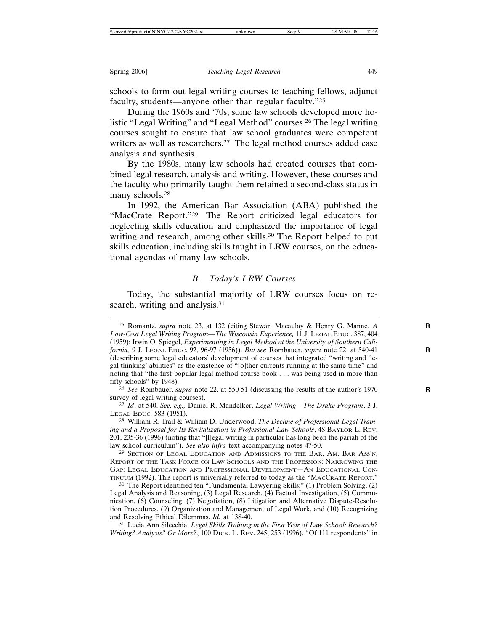schools to farm out legal writing courses to teaching fellows, adjunct faculty, students—anyone other than regular faculty."25

During the 1960s and '70s, some law schools developed more holistic "Legal Writing" and "Legal Method" courses.26 The legal writing courses sought to ensure that law school graduates were competent writers as well as researchers.<sup>27</sup> The legal method courses added case analysis and synthesis.

By the 1980s, many law schools had created courses that combined legal research, analysis and writing. However, these courses and the faculty who primarily taught them retained a second-class status in many schools.<sup>28</sup>

In 1992, the American Bar Association (ABA) published the "MacCrate Report."29 The Report criticized legal educators for neglecting skills education and emphasized the importance of legal writing and research, among other skills.<sup>30</sup> The Report helped to put skills education, including skills taught in LRW courses, on the educational agendas of many law schools.

## *B. Today's LRW Courses*

Today, the substantial majority of LRW courses focus on research, writing and analysis.<sup>31</sup>

28 William R. Trail & William D. Underwood, *The Decline of Professional Legal Training and a Proposal for Its Revitalization in Professional Law Schools*, 48 BAYLOR L. REV. 201, 235-36 (1996) (noting that "[l]egal writing in particular has long been the pariah of the law school curriculum"). *See also infra* text accompanying notes 47-50.

<sup>29</sup> SECTION OF LEGAL EDUCATION AND ADMISSIONS TO THE BAR, AM. BAR Ass'N, REPORT OF THE TASK FORCE ON LAW SCHOOLS AND THE PROFESSION: NARROWING THE GAP: LEGAL EDUCATION AND PROFESSIONAL DEVELOPMENT—AN EDUCATIONAL CON-TINUUM (1992). This report is universally referred to today as the "MACCRATE REPORT."

30 The Report identified ten "Fundamental Lawyering Skills:" (1) Problem Solving, (2) Legal Analysis and Reasoning, (3) Legal Research, (4) Factual Investigation, (5) Communication, (6) Counseling, (7) Negotiation, (8) Litigation and Alternative Dispute-Resolution Procedures, (9) Organization and Management of Legal Work, and (10) Recognizing and Resolving Ethical Dilemmas. *Id.* at 138-40.

31 Lucia Ann Silecchia, *Legal Skills Training in the First Year of Law School: Research? Writing? Analysis? Or More?*, 100 DICK. L. REV. 245, 253 (1996). "Of 111 respondents" in

<sup>25</sup> Romantz, *supra* note 23, at 132 (citing Stewart Macaulay & Henry G. Manne, *A* **R** *Low-Cost Legal Writing Program—The Wisconsin Experience,* 11 J. LEGAL EDUC. 387, 404 (1959); Irwin O. Spiegel, *Experimenting in Legal Method at the University of Southern California,* 9 J. LEGAL EDUC. 92, 96-97 (1956)). *But see* Rombauer, *supra* note 22, at 540-41 **R** (describing some legal educators' development of courses that integrated "writing and 'legal thinking' abilities" as the existence of "[o]ther currents running at the same time" and noting that "the first popular legal method course book . . . was being used in more than fifty schools" by 1948).

<sup>26</sup> *See* Rombauer, *supra* note 22, at 550-51 (discussing the results of the author's 1970 **R** survey of legal writing courses).

<sup>27</sup> *Id*. at 540. *See, e.g.,* Daniel R. Mandelker, *Legal Writing—The Drake Program*, 3 J. LEGAL EDUC. 583 (1951).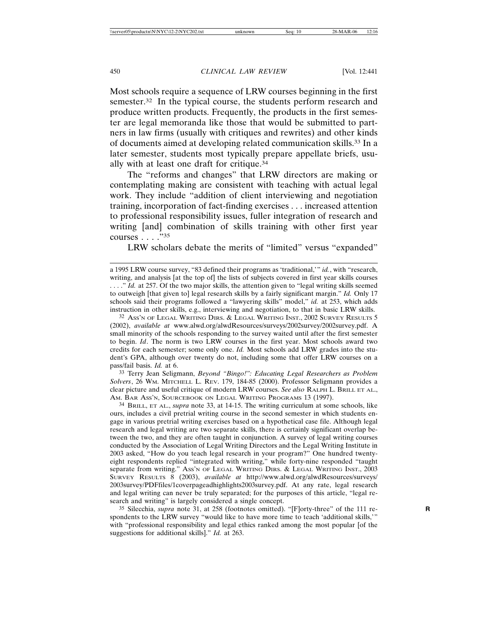Most schools require a sequence of LRW courses beginning in the first semester.<sup>32</sup> In the typical course, the students perform research and produce written products. Frequently, the products in the first semester are legal memoranda like those that would be submitted to partners in law firms (usually with critiques and rewrites) and other kinds of documents aimed at developing related communication skills.33 In a later semester, students most typically prepare appellate briefs, usually with at least one draft for critique.34

The "reforms and changes" that LRW directors are making or contemplating making are consistent with teaching with actual legal work. They include "addition of client interviewing and negotiation training, incorporation of fact-finding exercises . . . increased attention to professional responsibility issues, fuller integration of research and writing [and] combination of skills training with other first year courses . . . ."35

LRW scholars debate the merits of "limited" versus "expanded"

32 ASS'N OF LEGAL WRITING DIRS. & LEGAL WRITING INST., 2002 SURVEY RESULTS 5 (2002), *available at* www.alwd.org/alwdResources/surveys/2002survey/2002survey.pdf. A small minority of the schools responding to the survey waited until after the first semester to begin. *Id*. The norm is two LRW courses in the first year. Most schools award two credits for each semester; some only one. *Id.* Most schools add LRW grades into the student's GPA, although over twenty do not, including some that offer LRW courses on a pass/fail basis. *Id.* at 6.

33 Terry Jean Seligmann, *Beyond "Bingo!": Educating Legal Researchers as Problem Solvers*, 26 WM. MITCHELL L. REV. 179, 184-85 (2000). Professor Seligmann provides a clear picture and useful critique of modern LRW courses. *See also* RALPH L. BRILL ET AL., AM. BAR ASS'N, SOURCEBOOK ON LEGAL WRITING PROGRAMS 13 (1997).

34 BRILL, ET AL., *supra* note 33, at 14-15. The writing curriculum at some schools, like ours, includes a civil pretrial writing course in the second semester in which students engage in various pretrial writing exercises based on a hypothetical case file. Although legal research and legal writing are two separate skills, there is certainly significant overlap between the two, and they are often taught in conjunction. A survey of legal writing courses conducted by the Association of Legal Writing Directors and the Legal Writing Institute in 2003 asked, "How do you teach legal research in your program?" One hundred twentyeight respondents replied "integrated with writing," while forty-nine responded "taught separate from writing." Ass'N OF LEGAL WRITING DIRS. & LEGAL WRITING INST., 2003 SURVEY RESULTS 8 (2003), *available at* http://www.alwd.org/alwdResources/surveys/ 2003survey/PDFfiles/1coverpageadhighlights2003survey.pdf. At any rate, legal research and legal writing can never be truly separated; for the purposes of this article, "legal research and writing" is largely considered a single concept.

35 Silecchia, *supra* note 31, at 258 (footnotes omitted). "[F]orty-three" of the 111 re- **R** spondents to the LRW survey "would like to have more time to teach 'additional skills,'" with "professional responsibility and legal ethics ranked among the most popular [of the suggestions for additional skills]." *Id.* at 263.

a 1995 LRW course survey, "83 defined their programs as 'traditional,'" *id.*, with "research, writing, and analysis [at the top of] the lists of subjects covered in first year skills courses . . . ." *Id.* at 257. Of the two major skills, the attention given to "legal writing skills seemed to outweigh [that given to] legal research skills by a fairly significant margin." *Id.* Only 17 schools said their programs followed a "lawyering skills" model," *id.* at 253, which adds instruction in other skills, e.g., interviewing and negotiation, to that in basic LRW skills.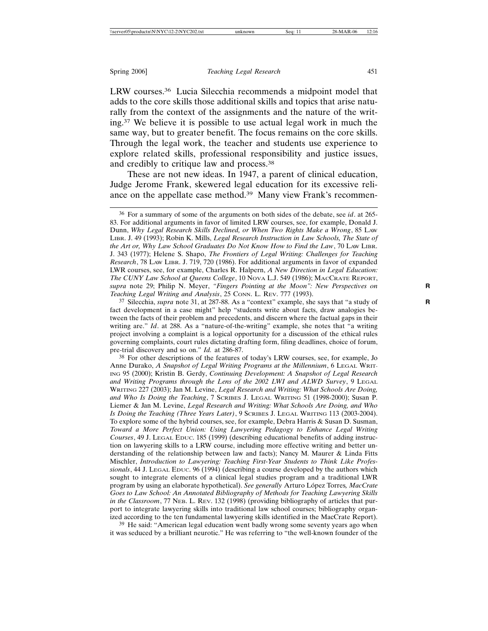LRW courses.36 Lucia Silecchia recommends a midpoint model that adds to the core skills those additional skills and topics that arise naturally from the context of the assignments and the nature of the writing.37 We believe it is possible to use actual legal work in much the same way, but to greater benefit. The focus remains on the core skills. Through the legal work, the teacher and students use experience to explore related skills, professional responsibility and justice issues, and credibly to critique law and process.38

These are not new ideas. In 1947, a parent of clinical education, Judge Jerome Frank, skewered legal education for its excessive reliance on the appellate case method.39 Many view Frank's recommen-

37 Silecchia, *supra* note 31, at 287-88. As a "context" example, she says that "a study of **R** fact development in a case might" help "students write about facts, draw analogies between the facts of their problem and precedents, and discern where the factual gaps in their writing are." *Id*. at 288. As a "nature-of-the-writing" example, she notes that "a writing project involving a complaint is a logical opportunity for a discussion of the ethical rules governing complaints, court rules dictating drafting form, filing deadlines, choice of forum, pre-trial discovery and so on." *Id.* at 286-87.

38 For other descriptions of the features of today's LRW courses, see, for example, Jo Anne Durako, *A Snapshot of Legal Writing Programs at the Millennium*, 6 LEGAL WRIT-ING 95 (2000); Kristin B. Gerdy, *Continuing Development: A Snapshot of Legal Research and Writing Programs through the Lens of the 2002 LWI and ALWD Survey*, 9 LEGAL WRITING 227 (2003); Jan M. Levine, *Legal Research and Writing: What Schools Are Doing, and Who Is Doing the Teaching*, 7 SCRIBES J. LEGAL WRITING 51 (1998-2000); Susan P. Liemer & Jan M. Levine, *Legal Research and Writing: What Schools Are Doing, and Who Is Doing the Teaching (Three Years Later)*, 9 SCRIBES J. LEGAL WRITING 113 (2003-2004). To explore some of the hybrid courses, see, for example, Debra Harris & Susan D. Susman, *Toward a More Perfect Union: Using Lawyering Pedagogy to Enhance Legal Writing Courses*, 49 J. LEGAL EDUC. 185 (1999) (describing educational benefits of adding instruction on lawyering skills to a LRW course, including more effective writing and better understanding of the relationship between law and facts); Nancy M. Maurer & Linda Fitts Mischler, *Introduction to Lawyering: Teaching First-Year Students to Think Like Professionals*, 44 J. LEGAL EDUC. 96 (1994) (describing a course developed by the authors which sought to integrate elements of a clinical legal studies program and a traditional LWR program by using an elaborate hypothetical). See generally Arturo López Torres, MacCrate *Goes to Law School: An Annotated Bibliography of Methods for Teaching Lawyering Skills in the Classroom*, 77 NEB. L. REV. 132 (1998) (providing bibliography of articles that purport to integrate lawyering skills into traditional law school courses; bibliography organized according to the ten fundamental lawyering skills identified in the MacCrate Report).

39 He said: "American legal education went badly wrong some seventy years ago when it was seduced by a brilliant neurotic." He was referring to "the well-known founder of the

<sup>36</sup> For a summary of some of the arguments on both sides of the debate, see *id*. at 265- 83. For additional arguments in favor of limited LRW courses, see, for example, Donald J. Dunn, *Why Legal Research Skills Declined, or When Two Rights Make a Wrong*, 85 LAW LIBR. J. 49 (1993); Robin K. Mills, *Legal Research Instruction in Law Schools, The State of the Art or, Why Law School Graduates Do Not Know How to Find the Law*, 70 LAW LIBR. J. 343 (1977); Helene S. Shapo, *The Frontiers of Legal Writing: Challenges for Teaching Research*, 78 LAW LIBR. J. 719, 720 (1986). For additional arguments in favor of expanded LWR courses, see, for example, Charles R. Halpern, *A New Direction in Legal Education: The CUNY Law School at Queens College*, 10 NOVA L.J. 549 (1986); MACCRATE REPORT, *supra* note 29; Philip N. Meyer, *"Fingers Pointing at the Moon": New Perspectives on* **R** *Teaching Legal Writing and Analysis*, 25 CONN. L. REV. 777 (1993).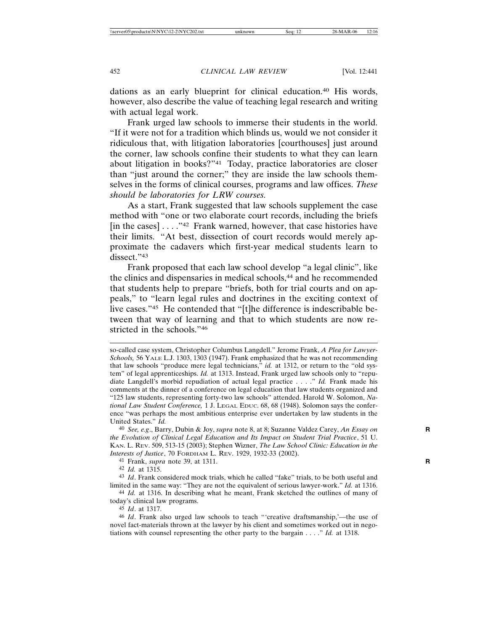dations as an early blueprint for clinical education.<sup>40</sup> His words, however, also describe the value of teaching legal research and writing with actual legal work.

Frank urged law schools to immerse their students in the world. "If it were not for a tradition which blinds us, would we not consider it ridiculous that, with litigation laboratories [courthouses] just around the corner, law schools confine their students to what they can learn about litigation in books?"41 Today, practice laboratories are closer than "just around the corner;" they are inside the law schools themselves in the forms of clinical courses, programs and law offices. *These should be laboratories for LRW courses.*

As a start, Frank suggested that law schools supplement the case method with "one or two elaborate court records, including the briefs [in the cases]  $\dots$ ."<sup>42</sup> Frank warned, however, that case histories have their limits. "At best, dissection of court records would merely approximate the cadavers which first-year medical students learn to dissect."43

Frank proposed that each law school develop "a legal clinic", like the clinics and dispensaries in medical schools,<sup>44</sup> and he recommended that students help to prepare "briefs, both for trial courts and on appeals," to "learn legal rules and doctrines in the exciting context of live cases."45 He contended that "[t]he difference is indescribable between that way of learning and that to which students are now restricted in the schools."46

40 *See, e.g*., Barry, Dubin & Joy, *supra* note 8, at 8; Suzanne Valdez Carey, *An Essay on* **R** *the Evolution of Clinical Legal Education and Its Impact on Student Trial Practice*, 51 U. KAN. L. REV. 509, 513-15 (2003); Stephen Wizner, *The Law School Clinic: Education in the Interests of Justice*, 70 FORDHAM L. REV. 1929, 1932-33 (2002).

41 Frank, *supra* note 39, at 1311. **R**

42 *Id.* at 1315.

43 *Id*. Frank considered mock trials, which he called "fake" trials, to be both useful and limited in the same way: "They are not the equivalent of serious lawyer-work." *Id.* at 1316. 44 *Id.* at 1316. In describing what he meant, Frank sketched the outlines of many of

today's clinical law programs.

45 *Id*. at 1317.

46 *Id*. Frank also urged law schools to teach "'creative draftsmanship,'—the use of novel fact-materials thrown at the lawyer by his client and sometimes worked out in negotiations with counsel representing the other party to the bargain . . . ." *Id.* at 1318.

so-called case system, Christopher Columbus Langdell." Jerome Frank, *A Plea for Lawyer-Schools,* 56 YALE L.J. 1303, 1303 (1947). Frank emphasized that he was not recommending that law schools "produce mere legal technicians," *id.* at 1312, or return to the "old system" of legal apprenticeships. *Id.* at 1313. Instead, Frank urged law schools only to "repudiate Langdell's morbid repudiation of actual legal practice . . . ." *Id.* Frank made his comments at the dinner of a conference on legal education that law students organized and "125 law students, representing forty-two law schools" attended. Harold W. Solomon, *National Law Student Conference,* 1 J. LEGAL EDUC. 68, 68 (1948). Solomon says the conference "was perhaps the most ambitious enterprise ever undertaken by law students in the United States." *Id.*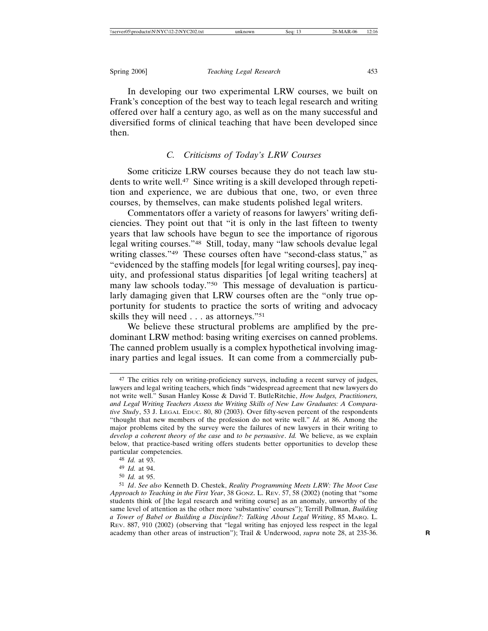In developing our two experimental LRW courses, we built on Frank's conception of the best way to teach legal research and writing offered over half a century ago, as well as on the many successful and diversified forms of clinical teaching that have been developed since then.

# *C. Criticisms of Today's LRW Courses*

Some criticize LRW courses because they do not teach law students to write well.47 Since writing is a skill developed through repetition and experience, we are dubious that one, two, or even three courses, by themselves, can make students polished legal writers.

Commentators offer a variety of reasons for lawyers' writing deficiencies. They point out that "it is only in the last fifteen to twenty years that law schools have begun to see the importance of rigorous legal writing courses."48 Still, today, many "law schools devalue legal writing classes."49 These courses often have "second-class status," as "evidenced by the staffing models [for legal writing courses], pay inequity, and professional status disparities [of legal writing teachers] at many law schools today."50 This message of devaluation is particularly damaging given that LRW courses often are the "only true opportunity for students to practice the sorts of writing and advocacy skills they will need . . . as attorneys."51

We believe these structural problems are amplified by the predominant LRW method: basing writing exercises on canned problems. The canned problem usually is a complex hypothetical involving imaginary parties and legal issues. It can come from a commercially pub-

<sup>47</sup> The critics rely on writing-proficiency surveys, including a recent survey of judges, lawyers and legal writing teachers, which finds "widespread agreement that new lawyers do not write well." Susan Hanley Kosse & David T. ButleRitchie, *How Judges, Practitioners, and Legal Writing Teachers Assess the Writing Skills of New Law Graduates: A Comparative Study*, 53 J. LEGAL EDUC. 80, 80 (2003). Over fifty-seven percent of the respondents "thought that new members of the profession do not write well." *Id.* at 86. Among the major problems cited by the survey were the failures of new lawyers in their writing to *develop a coherent theory of the case* and *to be persuasive*. *Id.* We believe, as we explain below, that practice-based writing offers students better opportunities to develop these particular competencies.

<sup>48</sup> *Id.* at 93.

<sup>49</sup> *Id.* at 94.

<sup>50</sup> *Id.* at 95.

<sup>51</sup> *Id*. *See also* Kenneth D. Chestek, *Reality Programming Meets LRW: The Moot Case Approach to Teaching in the First Year*, 38 GONZ. L. REV. 57, 58 (2002) (noting that "some students think of [the legal research and writing course] as an anomaly, unworthy of the same level of attention as the other more 'substantive' courses"); Terrill Pollman, *Building a Tower of Babel or Building a Discipline?: Talking About Legal Writing*, 85 MARQ. L. REV. 887, 910 (2002) (observing that "legal writing has enjoyed less respect in the legal academy than other areas of instruction"); Trail & Underwood, *supra* note 28, at 235-36. **R**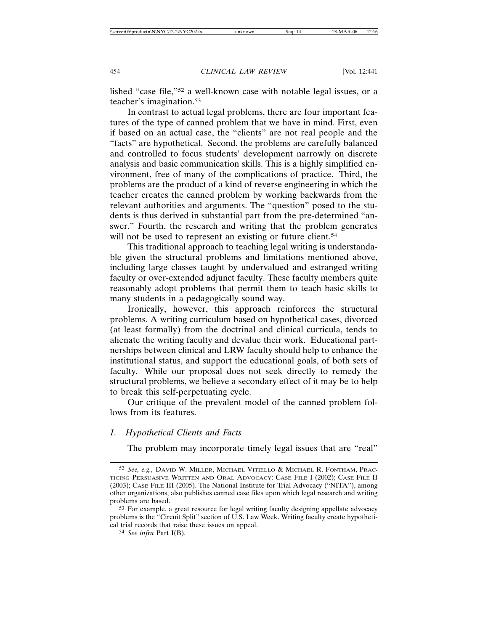lished "case file,"52 a well-known case with notable legal issues, or a teacher's imagination.53

In contrast to actual legal problems, there are four important features of the type of canned problem that we have in mind. First, even if based on an actual case, the "clients" are not real people and the "facts" are hypothetical. Second, the problems are carefully balanced and controlled to focus students' development narrowly on discrete analysis and basic communication skills. This is a highly simplified environment, free of many of the complications of practice. Third, the problems are the product of a kind of reverse engineering in which the teacher creates the canned problem by working backwards from the relevant authorities and arguments. The "question" posed to the students is thus derived in substantial part from the pre-determined "answer." Fourth, the research and writing that the problem generates will not be used to represent an existing or future client.<sup>54</sup>

This traditional approach to teaching legal writing is understandable given the structural problems and limitations mentioned above, including large classes taught by undervalued and estranged writing faculty or over-extended adjunct faculty. These faculty members quite reasonably adopt problems that permit them to teach basic skills to many students in a pedagogically sound way.

Ironically, however, this approach reinforces the structural problems. A writing curriculum based on hypothetical cases, divorced (at least formally) from the doctrinal and clinical curricula, tends to alienate the writing faculty and devalue their work. Educational partnerships between clinical and LRW faculty should help to enhance the institutional status, and support the educational goals, of both sets of faculty. While our proposal does not seek directly to remedy the structural problems, we believe a secondary effect of it may be to help to break this self-perpetuating cycle.

Our critique of the prevalent model of the canned problem follows from its features.

## *1. Hypothetical Clients and Facts*

The problem may incorporate timely legal issues that are "real"

<sup>52</sup> *See, e.g.,* DAVID W. MILLER, MICHAEL VITIELLO & MICHAEL R. FONTHAM, PRAC-TICING PERSUASIVE WRITTEN AND ORAL ADVOCACY: CASE FILE I (2002); CASE FILE II (2003); CASE FILE III (2005). The National Institute for Trial Advocacy ("NITA"), among other organizations, also publishes canned case files upon which legal research and writing problems are based.

<sup>53</sup> For example, a great resource for legal writing faculty designing appellate advocacy problems is the "Circuit Split" section of U.S. Law Week. Writing faculty create hypothetical trial records that raise these issues on appeal.

<sup>54</sup> *See infra* Part I(B).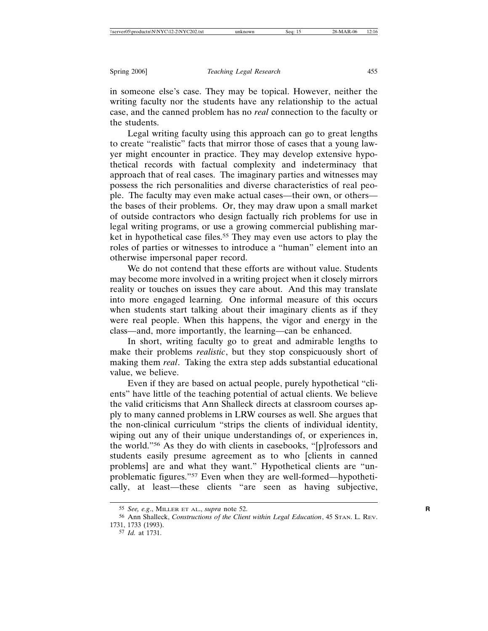in someone else's case. They may be topical. However, neither the writing faculty nor the students have any relationship to the actual case, and the canned problem has no *real* connection to the faculty or the students.

Legal writing faculty using this approach can go to great lengths to create "realistic" facts that mirror those of cases that a young lawyer might encounter in practice. They may develop extensive hypothetical records with factual complexity and indeterminacy that approach that of real cases. The imaginary parties and witnesses may possess the rich personalities and diverse characteristics of real people. The faculty may even make actual cases—their own, or others the bases of their problems. Or, they may draw upon a small market of outside contractors who design factually rich problems for use in legal writing programs, or use a growing commercial publishing market in hypothetical case files.<sup>55</sup> They may even use actors to play the roles of parties or witnesses to introduce a "human" element into an otherwise impersonal paper record.

We do not contend that these efforts are without value. Students may become more involved in a writing project when it closely mirrors reality or touches on issues they care about. And this may translate into more engaged learning. One informal measure of this occurs when students start talking about their imaginary clients as if they were real people. When this happens, the vigor and energy in the class—and, more importantly, the learning—can be enhanced.

In short, writing faculty go to great and admirable lengths to make their problems *realistic*, but they stop conspicuously short of making them *real*. Taking the extra step adds substantial educational value, we believe.

Even if they are based on actual people, purely hypothetical "clients" have little of the teaching potential of actual clients. We believe the valid criticisms that Ann Shalleck directs at classroom courses apply to many canned problems in LRW courses as well. She argues that the non-clinical curriculum "strips the clients of individual identity, wiping out any of their unique understandings of, or experiences in, the world."56 As they do with clients in casebooks, "[p]rofessors and students easily presume agreement as to who [clients in canned problems] are and what they want." Hypothetical clients are "unproblematic figures."57 Even when they are well-formed—hypothetically, at least—these clients "are seen as having subjective,

<sup>55</sup> *See, e.g*., MILLER ET AL., *supra* note 52. **R**

<sup>56</sup> Ann Shalleck, *Constructions of the Client within Legal Education*, 45 STAN. L. REV. 1731, 1733 (1993).

<sup>57</sup> *Id.* at 1731.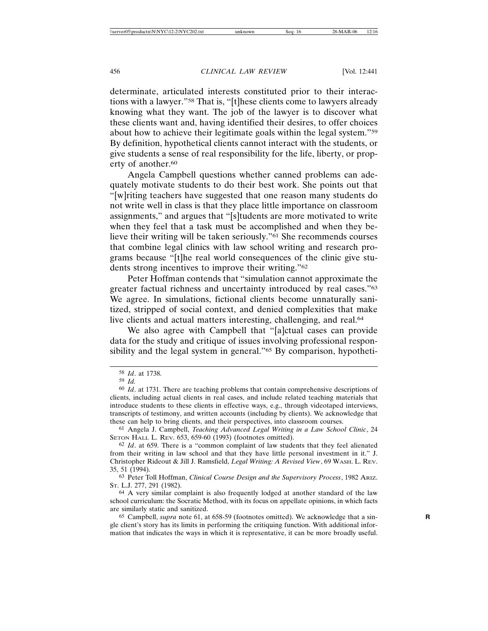determinate, articulated interests constituted prior to their interactions with a lawyer."58 That is, "[t]hese clients come to lawyers already knowing what they want. The job of the lawyer is to discover what these clients want and, having identified their desires, to offer choices about how to achieve their legitimate goals within the legal system."59 By definition, hypothetical clients cannot interact with the students, or give students a sense of real responsibility for the life, liberty, or property of another.<sup>60</sup>

Angela Campbell questions whether canned problems can adequately motivate students to do their best work. She points out that "[w]riting teachers have suggested that one reason many students do not write well in class is that they place little importance on classroom assignments," and argues that "[s]tudents are more motivated to write when they feel that a task must be accomplished and when they believe their writing will be taken seriously."61 She recommends courses that combine legal clinics with law school writing and research programs because "[t]he real world consequences of the clinic give students strong incentives to improve their writing."62

Peter Hoffman contends that "simulation cannot approximate the greater factual richness and uncertainty introduced by real cases."63 We agree. In simulations, fictional clients become unnaturally sanitized, stripped of social context, and denied complexities that make live clients and actual matters interesting, challenging, and real.<sup>64</sup>

We also agree with Campbell that "[a]ctual cases can provide data for the study and critique of issues involving professional responsibility and the legal system in general."65 By comparison, hypotheti-

61 Angela J. Campbell, *Teaching Advanced Legal Writing in a Law School Clinic*, 24 SETON HALL L. REV. 653, 659-60 (1993) (footnotes omitted).

<sup>58</sup> *Id*. at 1738.

<sup>59</sup> *Id.*

<sup>60</sup> *Id*. at 1731. There are teaching problems that contain comprehensive descriptions of clients, including actual clients in real cases, and include related teaching materials that introduce students to these clients in effective ways, e.g., through videotaped interviews, transcripts of testimony, and written accounts (including by clients). We acknowledge that these can help to bring clients, and their perspectives, into classroom courses.

<sup>62</sup> *Id*. at 659. There is a "common complaint of law students that they feel alienated from their writing in law school and that they have little personal investment in it." J. Christopher Rideout & Jill J. Ramsfield, *Legal Writing: A Revised View*, 69 WASH. L. REV. 35, 51 (1994).

<sup>63</sup> Peter Toll Hoffman, *Clinical Course Design and the Supervisory Process*, 1982 ARIZ. ST. L.J. 277, 291 (1982).

<sup>64</sup> A very similar complaint is also frequently lodged at another standard of the law school curriculum: the Socratic Method, with its focus on appellate opinions, in which facts are similarly static and sanitized.

<sup>65</sup> Campbell, *supra* note 61, at 658-59 (footnotes omitted). We acknowledge that a sin- **R** gle client's story has its limits in performing the critiquing function. With additional information that indicates the ways in which it is representative, it can be more broadly useful.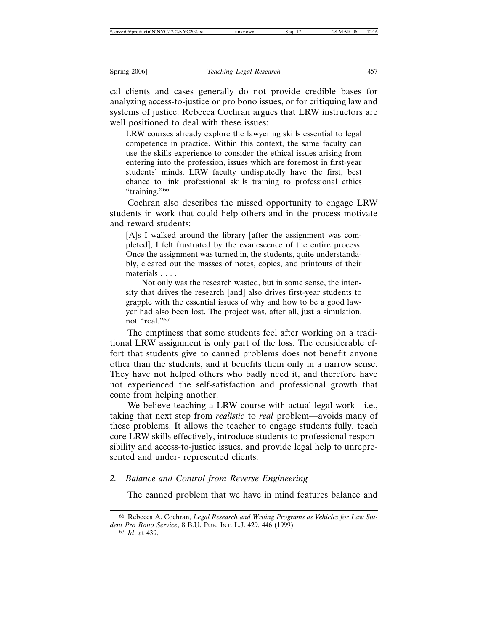cal clients and cases generally do not provide credible bases for analyzing access-to-justice or pro bono issues, or for critiquing law and systems of justice. Rebecca Cochran argues that LRW instructors are well positioned to deal with these issues:

LRW courses already explore the lawyering skills essential to legal competence in practice. Within this context, the same faculty can use the skills experience to consider the ethical issues arising from entering into the profession, issues which are foremost in first-year students' minds. LRW faculty undisputedly have the first, best chance to link professional skills training to professional ethics "training."<sup>66</sup>

Cochran also describes the missed opportunity to engage LRW students in work that could help others and in the process motivate and reward students:

[A]s I walked around the library [after the assignment was completed], I felt frustrated by the evanescence of the entire process. Once the assignment was turned in, the students, quite understandably, cleared out the masses of notes, copies, and printouts of their materials . . . .

Not only was the research wasted, but in some sense, the intensity that drives the research [and] also drives first-year students to grapple with the essential issues of why and how to be a good lawyer had also been lost. The project was, after all, just a simulation, not "real."67

The emptiness that some students feel after working on a traditional LRW assignment is only part of the loss. The considerable effort that students give to canned problems does not benefit anyone other than the students, and it benefits them only in a narrow sense. They have not helped others who badly need it, and therefore have not experienced the self-satisfaction and professional growth that come from helping another.

We believe teaching a LRW course with actual legal work—i.e., taking that next step from *realistic* to *real* problem—avoids many of these problems. It allows the teacher to engage students fully, teach core LRW skills effectively, introduce students to professional responsibility and access-to-justice issues, and provide legal help to unrepresented and under- represented clients.

## *2. Balance and Control from Reverse Engineering*

The canned problem that we have in mind features balance and

67 *Id*. at 439.

<sup>66</sup> Rebecca A. Cochran, *Legal Research and Writing Programs as Vehicles for Law Student Pro Bono Service*, 8 B.U. PUB. INT. L.J. 429, 446 (1999).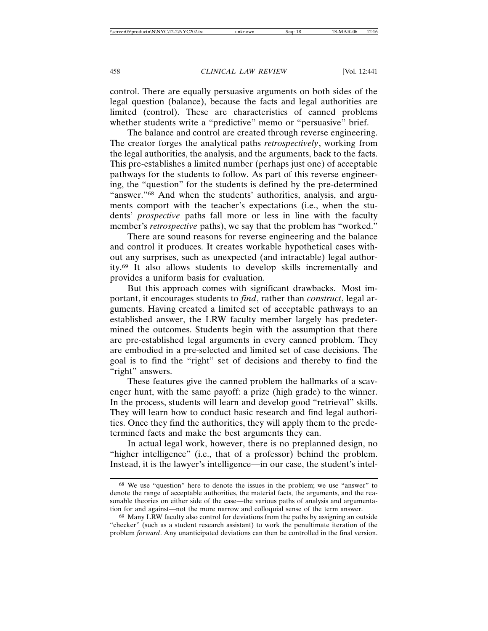control. There are equally persuasive arguments on both sides of the legal question (balance), because the facts and legal authorities are limited (control). These are characteristics of canned problems whether students write a "predictive" memo or "persuasive" brief.

The balance and control are created through reverse engineering. The creator forges the analytical paths *retrospectively*, working from the legal authorities, the analysis, and the arguments, back to the facts. This pre-establishes a limited number (perhaps just one) of acceptable pathways for the students to follow. As part of this reverse engineering, the "question" for the students is defined by the pre-determined "answer."68 And when the students' authorities, analysis, and arguments comport with the teacher's expectations (i.e., when the students' *prospective* paths fall more or less in line with the faculty member's *retrospective* paths), we say that the problem has "worked."

There are sound reasons for reverse engineering and the balance and control it produces. It creates workable hypothetical cases without any surprises, such as unexpected (and intractable) legal authority.69 It also allows students to develop skills incrementally and provides a uniform basis for evaluation.

But this approach comes with significant drawbacks. Most important, it encourages students to *find*, rather than *construct*, legal arguments. Having created a limited set of acceptable pathways to an established answer, the LRW faculty member largely has predetermined the outcomes. Students begin with the assumption that there are pre-established legal arguments in every canned problem. They are embodied in a pre-selected and limited set of case decisions. The goal is to find the "right" set of decisions and thereby to find the "right" answers.

These features give the canned problem the hallmarks of a scavenger hunt, with the same payoff: a prize (high grade) to the winner. In the process, students will learn and develop good "retrieval" skills. They will learn how to conduct basic research and find legal authorities. Once they find the authorities, they will apply them to the predetermined facts and make the best arguments they can.

In actual legal work, however, there is no preplanned design, no "higher intelligence" (i.e., that of a professor) behind the problem. Instead, it is the lawyer's intelligence—in our case, the student's intel-

<sup>68</sup> We use "question" here to denote the issues in the problem; we use "answer" to denote the range of acceptable authorities, the material facts, the arguments, and the reasonable theories on either side of the case—the various paths of analysis and argumentation for and against—not the more narrow and colloquial sense of the term answer.

<sup>&</sup>lt;sup>69</sup> Many LRW faculty also control for deviations from the paths by assigning an outside "checker" (such as a student research assistant) to work the penultimate iteration of the problem *forward*. Any unanticipated deviations can then be controlled in the final version.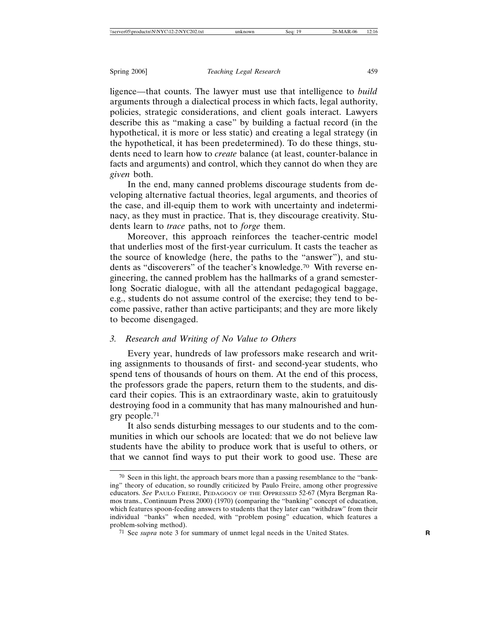ligence—that counts. The lawyer must use that intelligence to *build* arguments through a dialectical process in which facts, legal authority, policies, strategic considerations, and client goals interact. Lawyers describe this as "making a case" by building a factual record (in the hypothetical, it is more or less static) and creating a legal strategy (in the hypothetical, it has been predetermined). To do these things, students need to learn how to *create* balance (at least, counter-balance in facts and arguments) and control, which they cannot do when they are *given* both.

In the end, many canned problems discourage students from developing alternative factual theories, legal arguments, and theories of the case, and ill-equip them to work with uncertainty and indeterminacy, as they must in practice. That is, they discourage creativity. Students learn to *trace* paths, not to *forge* them.

Moreover, this approach reinforces the teacher-centric model that underlies most of the first-year curriculum. It casts the teacher as the source of knowledge (here, the paths to the "answer"), and students as "discoverers" of the teacher's knowledge.70 With reverse engineering, the canned problem has the hallmarks of a grand semesterlong Socratic dialogue, with all the attendant pedagogical baggage, e.g., students do not assume control of the exercise; they tend to become passive, rather than active participants; and they are more likely to become disengaged.

# *3. Research and Writing of No Value to Others*

Every year, hundreds of law professors make research and writing assignments to thousands of first- and second-year students, who spend tens of thousands of hours on them. At the end of this process, the professors grade the papers, return them to the students, and discard their copies. This is an extraordinary waste, akin to gratuitously destroying food in a community that has many malnourished and hungry people.71

It also sends disturbing messages to our students and to the communities in which our schools are located: that we do not believe law students have the ability to produce work that is useful to others, or that we cannot find ways to put their work to good use. These are

<sup>70</sup> Seen in this light, the approach bears more than a passing resemblance to the "banking" theory of education, so roundly criticized by Paulo Freire, among other progressive educators. *See* PAULO FREIRE, PEDAGOGY OF THE OPPRESSED 52-67 (Myra Bergman Ramos trans., Continuum Press 2000) (1970) (comparing the "banking" concept of education, which features spoon-feeding answers to students that they later can "withdraw" from their individual "banks" when needed, with "problem posing" education, which features a problem-solving method).

<sup>71</sup> See *supra* note 3 for summary of unmet legal needs in the United States. **R**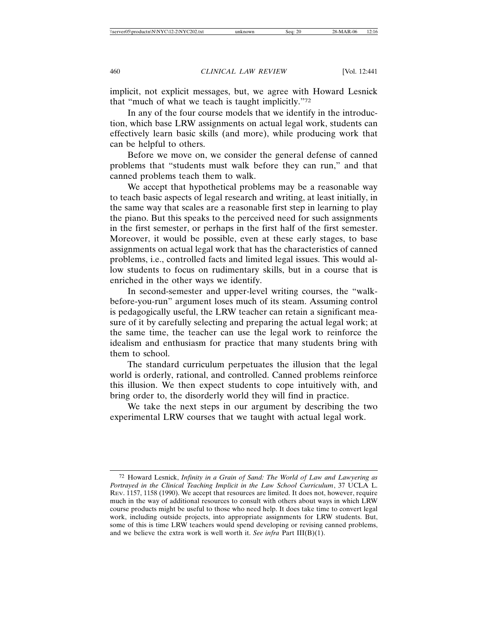implicit, not explicit messages, but, we agree with Howard Lesnick that "much of what we teach is taught implicitly."72

In any of the four course models that we identify in the introduction, which base LRW assignments on actual legal work, students can effectively learn basic skills (and more), while producing work that can be helpful to others.

Before we move on, we consider the general defense of canned problems that "students must walk before they can run," and that canned problems teach them to walk.

We accept that hypothetical problems may be a reasonable way to teach basic aspects of legal research and writing, at least initially, in the same way that scales are a reasonable first step in learning to play the piano. But this speaks to the perceived need for such assignments in the first semester, or perhaps in the first half of the first semester. Moreover, it would be possible, even at these early stages, to base assignments on actual legal work that has the characteristics of canned problems, i.e., controlled facts and limited legal issues. This would allow students to focus on rudimentary skills, but in a course that is enriched in the other ways we identify.

In second-semester and upper-level writing courses, the "walkbefore-you-run" argument loses much of its steam. Assuming control is pedagogically useful, the LRW teacher can retain a significant measure of it by carefully selecting and preparing the actual legal work; at the same time, the teacher can use the legal work to reinforce the idealism and enthusiasm for practice that many students bring with them to school.

The standard curriculum perpetuates the illusion that the legal world is orderly, rational, and controlled. Canned problems reinforce this illusion. We then expect students to cope intuitively with, and bring order to, the disorderly world they will find in practice.

We take the next steps in our argument by describing the two experimental LRW courses that we taught with actual legal work.

<sup>72</sup> Howard Lesnick, *Infinity in a Grain of Sand: The World of Law and Lawyering as Portrayed in the Clinical Teaching Implicit in the Law School Curriculum*, 37 UCLA L. REV. 1157, 1158 (1990). We accept that resources are limited. It does not, however, require much in the way of additional resources to consult with others about ways in which LRW course products might be useful to those who need help. It does take time to convert legal work, including outside projects, into appropriate assignments for LRW students. But, some of this is time LRW teachers would spend developing or revising canned problems, and we believe the extra work is well worth it. *See infra* Part III(B)(1).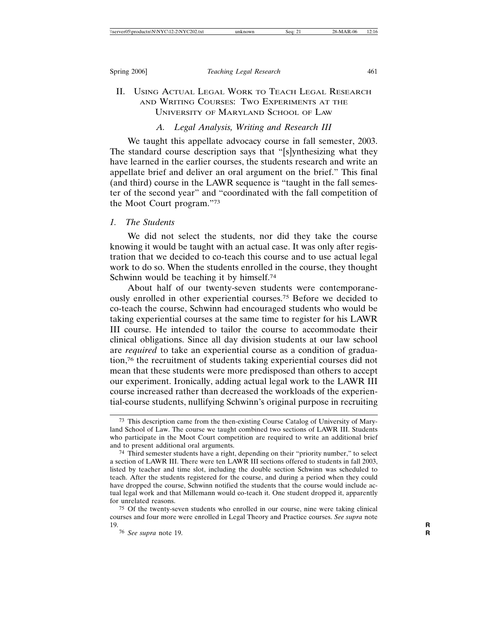# II. USING ACTUAL LEGAL WORK TO TEACH LEGAL RESEARCH AND WRITING COURSES: TWO EXPERIMENTS AT THE UNIVERSITY OF MARYLAND SCHOOL OF LAW

## *A. Legal Analysis, Writing and Research III*

We taught this appellate advocacy course in fall semester, 2003. The standard course description says that "[s]ynthesizing what they have learned in the earlier courses, the students research and write an appellate brief and deliver an oral argument on the brief." This final (and third) course in the LAWR sequence is "taught in the fall semester of the second year" and "coordinated with the fall competition of the Moot Court program."73

# *1. The Students*

We did not select the students, nor did they take the course knowing it would be taught with an actual case. It was only after registration that we decided to co-teach this course and to use actual legal work to do so. When the students enrolled in the course, they thought Schwinn would be teaching it by himself.<sup>74</sup>

About half of our twenty-seven students were contemporaneously enrolled in other experiential courses.75 Before we decided to co-teach the course, Schwinn had encouraged students who would be taking experiential courses at the same time to register for his LAWR III course. He intended to tailor the course to accommodate their clinical obligations. Since all day division students at our law school are *required* to take an experiential course as a condition of graduation,76 the recruitment of students taking experiential courses did not mean that these students were more predisposed than others to accept our experiment. Ironically, adding actual legal work to the LAWR III course increased rather than decreased the workloads of the experiential-course students, nullifying Schwinn's original purpose in recruiting

<sup>73</sup> This description came from the then-existing Course Catalog of University of Maryland School of Law. The course we taught combined two sections of LAWR III. Students who participate in the Moot Court competition are required to write an additional brief and to present additional oral arguments.

<sup>74</sup> Third semester students have a right, depending on their "priority number," to select a section of LAWR III. There were ten LAWR III sections offered to students in fall 2003, listed by teacher and time slot, including the double section Schwinn was scheduled to teach. After the students registered for the course, and during a period when they could have dropped the course, Schwinn notified the students that the course would include actual legal work and that Millemann would co-teach it. One student dropped it, apparently for unrelated reasons.

<sup>75</sup> Of the twenty-seven students who enrolled in our course, nine were taking clinical courses and four more were enrolled in Legal Theory and Practice courses. *See supra* note 19. **R**

<sup>76</sup> *See supra* note 19. **R**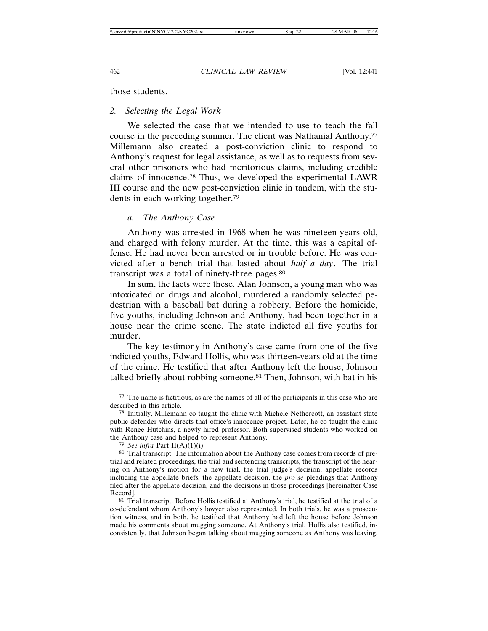those students.

# *2. Selecting the Legal Work*

We selected the case that we intended to use to teach the fall course in the preceding summer. The client was Nathanial Anthony.77 Millemann also created a post-conviction clinic to respond to Anthony's request for legal assistance, as well as to requests from several other prisoners who had meritorious claims, including credible claims of innocence.78 Thus, we developed the experimental LAWR III course and the new post-conviction clinic in tandem, with the students in each working together.79

## *a. The Anthony Case*

Anthony was arrested in 1968 when he was nineteen-years old, and charged with felony murder. At the time, this was a capital offense. He had never been arrested or in trouble before. He was convicted after a bench trial that lasted about *half a day*. The trial transcript was a total of ninety-three pages.80

In sum, the facts were these. Alan Johnson, a young man who was intoxicated on drugs and alcohol, murdered a randomly selected pedestrian with a baseball bat during a robbery. Before the homicide, five youths, including Johnson and Anthony, had been together in a house near the crime scene. The state indicted all five youths for murder.

The key testimony in Anthony's case came from one of the five indicted youths, Edward Hollis, who was thirteen-years old at the time of the crime. He testified that after Anthony left the house, Johnson talked briefly about robbing someone.81 Then, Johnson, with bat in his

<sup>77</sup> The name is fictitious, as are the names of all of the participants in this case who are described in this article.

<sup>78</sup> Initially, Millemann co-taught the clinic with Michele Nethercott, an assistant state public defender who directs that office's innocence project. Later, he co-taught the clinic with Renee Hutchins, a newly hired professor. Both supervised students who worked on the Anthony case and helped to represent Anthony.

<sup>79</sup> *See infra* Part II(A)(1)(i).

<sup>80</sup> Trial transcript. The information about the Anthony case comes from records of pretrial and related proceedings, the trial and sentencing transcripts, the transcript of the hearing on Anthony's motion for a new trial, the trial judge's decision, appellate records including the appellate briefs, the appellate decision, the *pro se* pleadings that Anthony filed after the appellate decision, and the decisions in those proceedings [hereinafter Case Record].

<sup>81</sup> Trial transcript. Before Hollis testified at Anthony's trial, he testified at the trial of a co-defendant whom Anthony's lawyer also represented. In both trials, he was a prosecution witness, and in both, he testified that Anthony had left the house before Johnson made his comments about mugging someone. At Anthony's trial, Hollis also testified, inconsistently, that Johnson began talking about mugging someone as Anthony was leaving,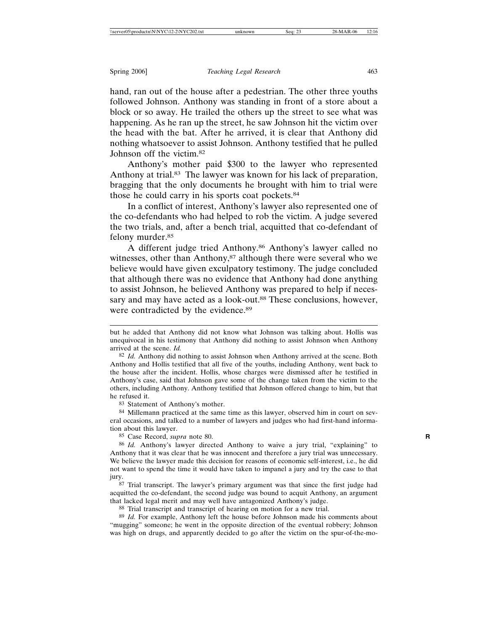hand, ran out of the house after a pedestrian. The other three youths followed Johnson. Anthony was standing in front of a store about a block or so away. He trailed the others up the street to see what was happening. As he ran up the street, he saw Johnson hit the victim over the head with the bat. After he arrived, it is clear that Anthony did nothing whatsoever to assist Johnson. Anthony testified that he pulled Johnson off the victim.82

Anthony's mother paid \$300 to the lawyer who represented Anthony at trial.<sup>83</sup> The lawyer was known for his lack of preparation, bragging that the only documents he brought with him to trial were those he could carry in his sports coat pockets.84

In a conflict of interest, Anthony's lawyer also represented one of the co-defendants who had helped to rob the victim. A judge severed the two trials, and, after a bench trial, acquitted that co-defendant of felony murder.85

A different judge tried Anthony.86 Anthony's lawyer called no witnesses, other than Anthony,<sup>87</sup> although there were several who we believe would have given exculpatory testimony. The judge concluded that although there was no evidence that Anthony had done anything to assist Johnson, he believed Anthony was prepared to help if necessary and may have acted as a look-out.<sup>88</sup> These conclusions, however, were contradicted by the evidence.<sup>89</sup>

83 Statement of Anthony's mother.

84 Millemann practiced at the same time as this lawyer, observed him in court on several occasions, and talked to a number of lawyers and judges who had first-hand information about this lawyer.

85 Case Record, *supra* note 80. **R**

87 Trial transcript. The lawyer's primary argument was that since the first judge had acquitted the co-defendant, the second judge was bound to acquit Anthony, an argument that lacked legal merit and may well have antagonized Anthony's judge.

88 Trial transcript and transcript of hearing on motion for a new trial.

89 *Id.* For example, Anthony left the house before Johnson made his comments about "mugging" someone; he went in the opposite direction of the eventual robbery; Johnson was high on drugs, and apparently decided to go after the victim on the spur-of-the-mo-

but he added that Anthony did not know what Johnson was talking about. Hollis was unequivocal in his testimony that Anthony did nothing to assist Johnson when Anthony arrived at the scene. *Id.*

<sup>82</sup> *Id.* Anthony did nothing to assist Johnson when Anthony arrived at the scene. Both Anthony and Hollis testified that all five of the youths, including Anthony, went back to the house after the incident. Hollis, whose charges were dismissed after he testified in Anthony's case, said that Johnson gave some of the change taken from the victim to the others, including Anthony. Anthony testified that Johnson offered change to him, but that he refused it.

<sup>86</sup> *Id.* Anthony's lawyer directed Anthony to waive a jury trial, "explaining" to Anthony that it was clear that he was innocent and therefore a jury trial was unnecessary. We believe the lawyer made this decision for reasons of economic self-interest, i.e., he did not want to spend the time it would have taken to impanel a jury and try the case to that jury.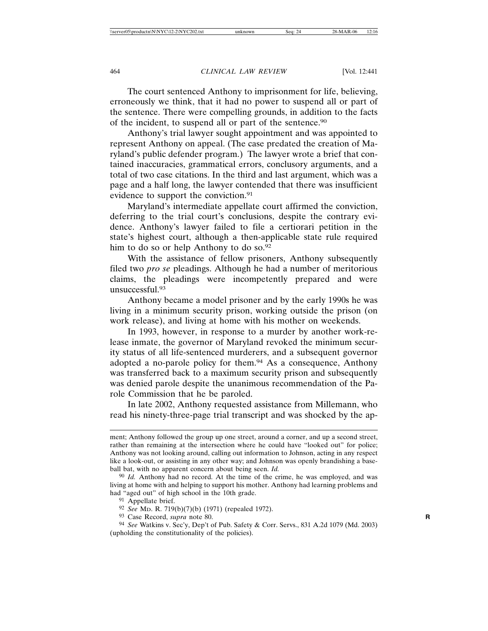The court sentenced Anthony to imprisonment for life, believing, erroneously we think, that it had no power to suspend all or part of the sentence. There were compelling grounds, in addition to the facts of the incident, to suspend all or part of the sentence.90

Anthony's trial lawyer sought appointment and was appointed to represent Anthony on appeal. (The case predated the creation of Maryland's public defender program.) The lawyer wrote a brief that contained inaccuracies, grammatical errors, conclusory arguments, and a total of two case citations. In the third and last argument, which was a page and a half long, the lawyer contended that there was insufficient evidence to support the conviction.<sup>91</sup>

Maryland's intermediate appellate court affirmed the conviction, deferring to the trial court's conclusions, despite the contrary evidence. Anthony's lawyer failed to file a certiorari petition in the state's highest court, although a then-applicable state rule required him to do so or help Anthony to do so.<sup>92</sup>

With the assistance of fellow prisoners, Anthony subsequently filed two *pro se* pleadings. Although he had a number of meritorious claims, the pleadings were incompetently prepared and were unsuccessful.93

Anthony became a model prisoner and by the early 1990s he was living in a minimum security prison, working outside the prison (on work release), and living at home with his mother on weekends.

In 1993, however, in response to a murder by another work-release inmate, the governor of Maryland revoked the minimum security status of all life-sentenced murderers, and a subsequent governor adopted a no-parole policy for them.94 As a consequence, Anthony was transferred back to a maximum security prison and subsequently was denied parole despite the unanimous recommendation of the Parole Commission that he be paroled.

In late 2002, Anthony requested assistance from Millemann, who read his ninety-three-page trial transcript and was shocked by the ap-

ment; Anthony followed the group up one street, around a corner, and up a second street, rather than remaining at the intersection where he could have "looked out" for police; Anthony was not looking around, calling out information to Johnson, acting in any respect like a look-out, or assisting in any other way; and Johnson was openly brandishing a baseball bat, with no apparent concern about being seen. *Id.*

<sup>90</sup> *Id.* Anthony had no record. At the time of the crime, he was employed, and was living at home with and helping to support his mother. Anthony had learning problems and had "aged out" of high school in the 10th grade.

<sup>91</sup> Appellate brief.

<sup>92</sup> *See* MD. R. 719(b)(7)(b) (1971) (repealed 1972).

<sup>93</sup> Case Record, *supra* note 80. **R**

<sup>94</sup> *See* Watkins v. Sec'y, Dep't of Pub. Safety & Corr. Servs., 831 A.2d 1079 (Md. 2003) (upholding the constitutionality of the policies).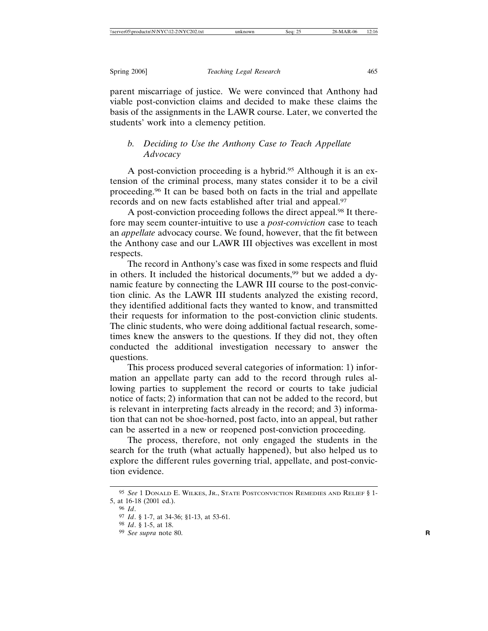parent miscarriage of justice. We were convinced that Anthony had viable post-conviction claims and decided to make these claims the basis of the assignments in the LAWR course. Later, we converted the students' work into a clemency petition.

# *b. Deciding to Use the Anthony Case to Teach Appellate Advocacy*

A post-conviction proceeding is a hybrid.95 Although it is an extension of the criminal process, many states consider it to be a civil proceeding.96 It can be based both on facts in the trial and appellate records and on new facts established after trial and appeal.97

A post-conviction proceeding follows the direct appeal.98 It therefore may seem counter-intuitive to use a *post-conviction* case to teach an *appellate* advocacy course. We found, however, that the fit between the Anthony case and our LAWR III objectives was excellent in most respects.

The record in Anthony's case was fixed in some respects and fluid in others. It included the historical documents,<sup>99</sup> but we added a dynamic feature by connecting the LAWR III course to the post-conviction clinic. As the LAWR III students analyzed the existing record, they identified additional facts they wanted to know, and transmitted their requests for information to the post-conviction clinic students. The clinic students, who were doing additional factual research, sometimes knew the answers to the questions. If they did not, they often conducted the additional investigation necessary to answer the questions.

This process produced several categories of information: 1) information an appellate party can add to the record through rules allowing parties to supplement the record or courts to take judicial notice of facts; 2) information that can not be added to the record, but is relevant in interpreting facts already in the record; and 3) information that can not be shoe-horned, post facto, into an appeal, but rather can be asserted in a new or reopened post-conviction proceeding.

The process, therefore, not only engaged the students in the search for the truth (what actually happened), but also helped us to explore the different rules governing trial, appellate, and post-conviction evidence.

<sup>95</sup> *See* 1 DONALD E. WILKES, JR., STATE POSTCONVICTION REMEDIES AND RELIEF § 1- 5, at 16-18 (2001 ed.).

<sup>96</sup> *Id*.

<sup>97</sup> *Id*. § 1-7, at 34-36; §1-13, at 53-61.

<sup>98</sup> *Id*. § 1-5, at 18.

<sup>99</sup> *See supra* note 80. **R**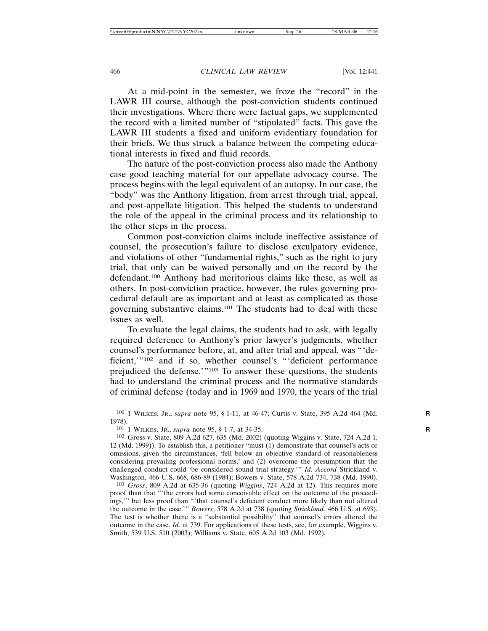At a mid-point in the semester, we froze the "record" in the LAWR III course, although the post-conviction students continued their investigations. Where there were factual gaps, we supplemented the record with a limited number of "stipulated" facts. This gave the LAWR III students a fixed and uniform evidentiary foundation for their briefs. We thus struck a balance between the competing educational interests in fixed and fluid records.

The nature of the post-conviction process also made the Anthony case good teaching material for our appellate advocacy course. The process begins with the legal equivalent of an autopsy. In our case, the "body" was the Anthony litigation, from arrest through trial, appeal, and post-appellate litigation. This helped the students to understand the role of the appeal in the criminal process and its relationship to the other steps in the process.

Common post-conviction claims include ineffective assistance of counsel, the prosecution's failure to disclose exculpatory evidence, and violations of other "fundamental rights," such as the right to jury trial, that only can be waived personally and on the record by the defendant.100 Anthony had meritorious claims like these, as well as others. In post-conviction practice, however, the rules governing procedural default are as important and at least as complicated as those governing substantive claims.101 The students had to deal with these issues as well.

To evaluate the legal claims, the students had to ask, with legally required deference to Anthony's prior lawyer's judgments, whether counsel's performance before, at, and after trial and appeal, was "'deficient,"<sup>102</sup> and if so, whether counsel's "'deficient performance prejudiced the defense.'"103 To answer these questions, the students had to understand the criminal process and the normative standards of criminal defense (today and in 1969 and 1970, the years of the trial

103 *Gross*, 809 A.2d at 635-36 (quoting *Wiggins*, 724 A.2d at 12). This requires more proof than that "'the errors had some conceivable effect on the outcome of the proceedings,'" but less proof than "'that counsel's deficient conduct more likely than not altered the outcome in the case.'" *Bowers*, 578 A.2d at 738 (quoting *Strickland*, 466 U.S. at 693). The test is whether there is a "substantial possibility" that counsel's errors altered the outcome in the case. *Id.* at 739. For applications of these tests, see, for example, Wiggins v. Smith, 539 U.S. 510 (2003); Williams v. State, 605 A.2d 103 (Md. 1992).

<sup>100</sup> 1 WILKES, JR., *supra* note 95, § 1-11, at 46-47; Curtis v. State, 395 A.2d 464 (Md. **R** 1978).

<sup>101</sup> 1 WILKES, JR., *supra* note 95, § 1-7, at 34-35. **R**

<sup>102</sup> Gross v. State, 809 A.2d 627, 635 (Md. 2002) (quoting Wiggins v. State, 724 A.2d 1, 12 (Md. 1999)). To establish this, a petitioner "must (1) demonstrate that counsel's acts or omissions, given the circumstances, 'fell below an objective standard of reasonableness considering prevailing professional norms,' and (2) overcome the presumption that the challenged conduct could 'be considered sound trial strategy.'" *Id. Accord* Strickland v. Washington, 466 U.S. 668, 686-89 (1984); Bowers v. State, 578 A.2d 734, 738 (Md. 1990).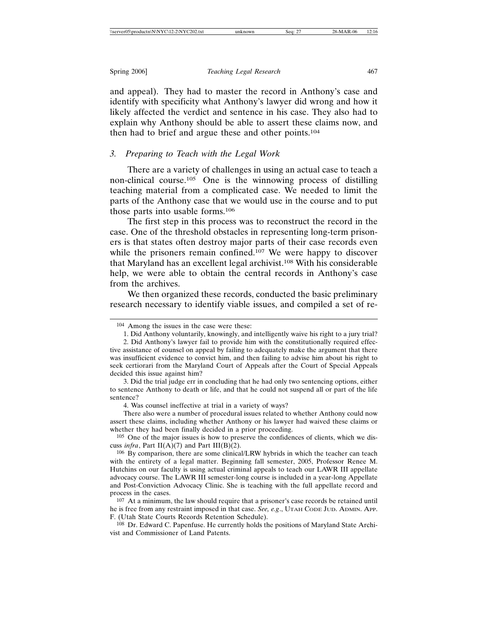and appeal). They had to master the record in Anthony's case and identify with specificity what Anthony's lawyer did wrong and how it likely affected the verdict and sentence in his case. They also had to explain why Anthony should be able to assert these claims now, and then had to brief and argue these and other points.104

# *3. Preparing to Teach with the Legal Work*

There are a variety of challenges in using an actual case to teach a non-clinical course.105 One is the winnowing process of distilling teaching material from a complicated case. We needed to limit the parts of the Anthony case that we would use in the course and to put those parts into usable forms.106

The first step in this process was to reconstruct the record in the case. One of the threshold obstacles in representing long-term prisoners is that states often destroy major parts of their case records even while the prisoners remain confined.<sup>107</sup> We were happy to discover that Maryland has an excellent legal archivist.108 With his considerable help, we were able to obtain the central records in Anthony's case from the archives.

We then organized these records, conducted the basic preliminary research necessary to identify viable issues, and compiled a set of re-

<sup>104</sup> Among the issues in the case were these:

<sup>1.</sup> Did Anthony voluntarily, knowingly, and intelligently waive his right to a jury trial?

<sup>2.</sup> Did Anthony's lawyer fail to provide him with the constitutionally required effective assistance of counsel on appeal by failing to adequately make the argument that there was insufficient evidence to convict him, and then failing to advise him about his right to seek certiorari from the Maryland Court of Appeals after the Court of Special Appeals decided this issue against him?

<sup>3.</sup> Did the trial judge err in concluding that he had only two sentencing options, either to sentence Anthony to death or life, and that he could not suspend all or part of the life sentence?

<sup>4.</sup> Was counsel ineffective at trial in a variety of ways?

There also were a number of procedural issues related to whether Anthony could now assert these claims, including whether Anthony or his lawyer had waived these claims or whether they had been finally decided in a prior proceeding.

<sup>105</sup> One of the major issues is how to preserve the confidences of clients, which we discuss *infra*, Part II(A)(7) and Part III(B)(2).

<sup>106</sup> By comparison, there are some clinical/LRW hybrids in which the teacher can teach with the entirety of a legal matter. Beginning fall semester, 2005, Professor Renee M. Hutchins on our faculty is using actual criminal appeals to teach our LAWR III appellate advocacy course. The LAWR III semester-long course is included in a year-long Appellate and Post-Conviction Advocacy Clinic. She is teaching with the full appellate record and process in the cases.

<sup>107</sup> At a minimum, the law should require that a prisoner's case records be retained until he is free from any restraint imposed in that case. *See, e.g*., UTAH CODE JUD. ADMIN. APP. F. (Utah State Courts Records Retention Schedule).

<sup>108</sup> Dr. Edward C. Papenfuse. He currently holds the positions of Maryland State Archivist and Commissioner of Land Patents.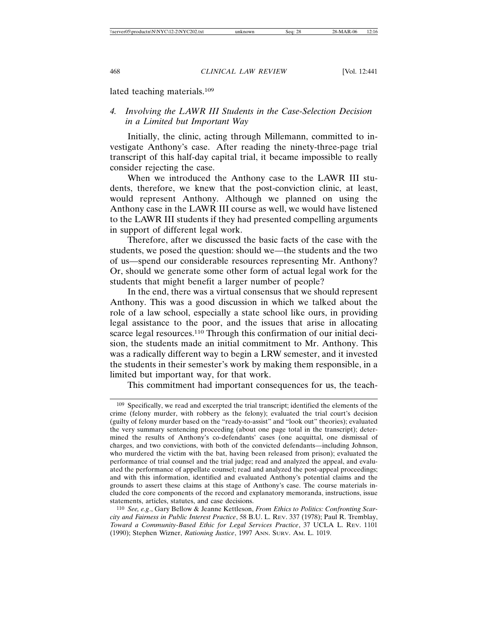lated teaching materials.109

# *4. Involving the LAWR III Students in the Case-Selection Decision in a Limited but Important Way*

Initially, the clinic, acting through Millemann, committed to investigate Anthony's case. After reading the ninety-three-page trial transcript of this half-day capital trial, it became impossible to really consider rejecting the case.

When we introduced the Anthony case to the LAWR III students, therefore, we knew that the post-conviction clinic, at least, would represent Anthony. Although we planned on using the Anthony case in the LAWR III course as well, we would have listened to the LAWR III students if they had presented compelling arguments in support of different legal work.

Therefore, after we discussed the basic facts of the case with the students, we posed the question: should we—the students and the two of us—spend our considerable resources representing Mr. Anthony? Or, should we generate some other form of actual legal work for the students that might benefit a larger number of people?

In the end, there was a virtual consensus that we should represent Anthony. This was a good discussion in which we talked about the role of a law school, especially a state school like ours, in providing legal assistance to the poor, and the issues that arise in allocating scarce legal resources.<sup>110</sup> Through this confirmation of our initial decision, the students made an initial commitment to Mr. Anthony. This was a radically different way to begin a LRW semester, and it invested the students in their semester's work by making them responsible, in a limited but important way, for that work.

This commitment had important consequences for us, the teach-

<sup>109</sup> Specifically, we read and excerpted the trial transcript; identified the elements of the crime (felony murder, with robbery as the felony); evaluated the trial court's decision (guilty of felony murder based on the "ready-to-assist" and "look out" theories); evaluated the very summary sentencing proceeding (about one page total in the transcript); determined the results of Anthony's co-defendants' cases (one acquittal, one dismissal of charges, and two convictions, with both of the convicted defendants—including Johnson, who murdered the victim with the bat, having been released from prison); evaluated the performance of trial counsel and the trial judge; read and analyzed the appeal, and evaluated the performance of appellate counsel; read and analyzed the post-appeal proceedings; and with this information, identified and evaluated Anthony's potential claims and the grounds to assert these claims at this stage of Anthony's case. The course materials included the core components of the record and explanatory memoranda, instructions, issue statements, articles, statutes, and case decisions.

<sup>110</sup> *See, e.g*., Gary Bellow & Jeanne Kettleson, *From Ethics to Politics: Confronting Scarcity and Fairness in Public Interest Practice*, 58 B.U. L. REV. 337 (1978); Paul R. Tremblay, *Toward a Community-Based Ethic for Legal Services Practice*, 37 UCLA L. REV. 1101 (1990); Stephen Wizner, *Rationing Justice*, 1997 ANN. SURV. AM. L. 1019.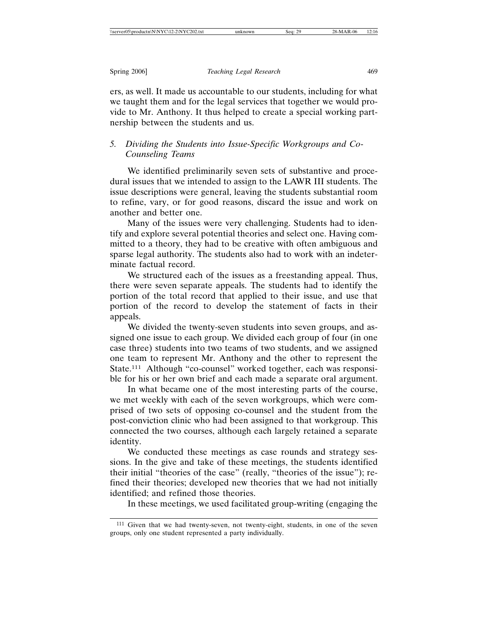ers, as well. It made us accountable to our students, including for what we taught them and for the legal services that together we would provide to Mr. Anthony. It thus helped to create a special working partnership between the students and us.

# *5. Dividing the Students into Issue-Specific Workgroups and Co-Counseling Teams*

We identified preliminarily seven sets of substantive and procedural issues that we intended to assign to the LAWR III students. The issue descriptions were general, leaving the students substantial room to refine, vary, or for good reasons, discard the issue and work on another and better one.

Many of the issues were very challenging. Students had to identify and explore several potential theories and select one. Having committed to a theory, they had to be creative with often ambiguous and sparse legal authority. The students also had to work with an indeterminate factual record.

We structured each of the issues as a freestanding appeal. Thus, there were seven separate appeals. The students had to identify the portion of the total record that applied to their issue, and use that portion of the record to develop the statement of facts in their appeals.

We divided the twenty-seven students into seven groups, and assigned one issue to each group. We divided each group of four (in one case three) students into two teams of two students, and we assigned one team to represent Mr. Anthony and the other to represent the State.111 Although "co-counsel" worked together, each was responsible for his or her own brief and each made a separate oral argument.

In what became one of the most interesting parts of the course, we met weekly with each of the seven workgroups, which were comprised of two sets of opposing co-counsel and the student from the post-conviction clinic who had been assigned to that workgroup. This connected the two courses, although each largely retained a separate identity.

We conducted these meetings as case rounds and strategy sessions. In the give and take of these meetings, the students identified their initial "theories of the case" (really, "theories of the issue"); refined their theories; developed new theories that we had not initially identified; and refined those theories.

In these meetings, we used facilitated group-writing (engaging the

<sup>111</sup> Given that we had twenty-seven, not twenty-eight, students, in one of the seven groups, only one student represented a party individually.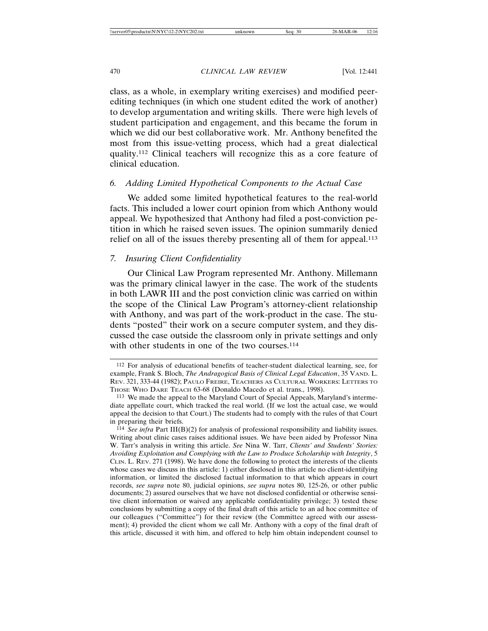class, as a whole, in exemplary writing exercises) and modified peerediting techniques (in which one student edited the work of another) to develop argumentation and writing skills. There were high levels of student participation and engagement, and this became the forum in which we did our best collaborative work. Mr. Anthony benefited the most from this issue-vetting process, which had a great dialectical quality.112 Clinical teachers will recognize this as a core feature of clinical education.

# *6. Adding Limited Hypothetical Components to the Actual Case*

We added some limited hypothetical features to the real-world facts. This included a lower court opinion from which Anthony would appeal. We hypothesized that Anthony had filed a post-conviction petition in which he raised seven issues. The opinion summarily denied relief on all of the issues thereby presenting all of them for appeal.<sup>113</sup>

# *7. Insuring Client Confidentiality*

Our Clinical Law Program represented Mr. Anthony. Millemann was the primary clinical lawyer in the case. The work of the students in both LAWR III and the post conviction clinic was carried on within the scope of the Clinical Law Program's attorney-client relationship with Anthony, and was part of the work-product in the case. The students "posted" their work on a secure computer system, and they discussed the case outside the classroom only in private settings and only with other students in one of the two courses.<sup>114</sup>

<sup>112</sup> For analysis of educational benefits of teacher-student dialectical learning, see, for example, Frank S. Bloch, *The Andragogical Basis of Clinical Legal Education*, 35 VAND. L. REV. 321, 333-44 (1982); PAULO FREIRE, TEACHERS AS CULTURAL WORKERS: LETTERS TO THOSE WHO DARE TEACH 63-68 (Donaldo Macedo et al. trans., 1998).

<sup>113</sup> We made the appeal to the Maryland Court of Special Appeals, Maryland's intermediate appellate court, which tracked the real world. (If we lost the actual case, we would appeal the decision to that Court.) The students had to comply with the rules of that Court in preparing their briefs.

<sup>114</sup> *See infra* Part III(B)(2) for analysis of professional responsibility and liability issues. Writing about clinic cases raises additional issues. We have been aided by Professor Nina W. Tarr's analysis in writing this article. *See* Nina W. Tarr, *Clients' and Students' Stories: Avoiding Exploitation and Complying with the Law to Produce Scholarship with Integrity*, 5 CLIN. L. REV. 271 (1998). We have done the following to protect the interests of the clients whose cases we discuss in this article: 1) either disclosed in this article no client-identifying information, or limited the disclosed factual information to that which appears in court records, *see supra* note 80, judicial opinions, *see supra* notes 80, 125-26, or other public documents; 2) assured ourselves that we have not disclosed confidential or otherwise sensitive client information or waived any applicable confidentiality privilege; 3) tested these conclusions by submitting a copy of the final draft of this article to an ad hoc committee of our colleagues ("Committee") for their review (the Committee agreed with our assessment); 4) provided the client whom we call Mr. Anthony with a copy of the final draft of this article, discussed it with him, and offered to help him obtain independent counsel to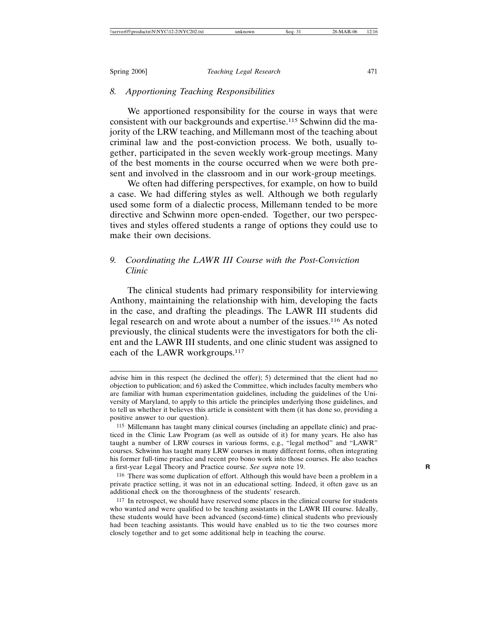## *8. Apportioning Teaching Responsibilities*

We apportioned responsibility for the course in ways that were consistent with our backgrounds and expertise.115 Schwinn did the majority of the LRW teaching, and Millemann most of the teaching about criminal law and the post-conviction process. We both, usually together, participated in the seven weekly work-group meetings. Many of the best moments in the course occurred when we were both present and involved in the classroom and in our work-group meetings.

We often had differing perspectives, for example, on how to build a case. We had differing styles as well. Although we both regularly used some form of a dialectic process, Millemann tended to be more directive and Schwinn more open-ended. Together, our two perspectives and styles offered students a range of options they could use to make their own decisions.

# *9. Coordinating the LAWR III Course with the Post-Conviction Clinic*

The clinical students had primary responsibility for interviewing Anthony, maintaining the relationship with him, developing the facts in the case, and drafting the pleadings. The LAWR III students did legal research on and wrote about a number of the issues.116 As noted previously, the clinical students were the investigators for both the client and the LAWR III students, and one clinic student was assigned to each of the LAWR workgroups.<sup>117</sup>

advise him in this respect (he declined the offer); 5) determined that the client had no objection to publication; and 6) asked the Committee, which includes faculty members who are familiar with human experimentation guidelines, including the guidelines of the University of Maryland, to apply to this article the principles underlying those guidelines, and to tell us whether it believes this article is consistent with them (it has done so, providing a positive answer to our question).

<sup>115</sup> Millemann has taught many clinical courses (including an appellate clinic) and practiced in the Clinic Law Program (as well as outside of it) for many years. He also has taught a number of LRW courses in various forms, e.g., "legal method" and "LAWR" courses. Schwinn has taught many LRW courses in many different forms, often integrating his former full-time practice and recent pro bono work into those courses. He also teaches a first-year Legal Theory and Practice course. *See supra* note 19. **R**

<sup>116</sup> There was some duplication of effort. Although this would have been a problem in a private practice setting, it was not in an educational setting. Indeed, it often gave us an additional check on the thoroughness of the students' research.

<sup>117</sup> In retrospect, we should have reserved some places in the clinical course for students who wanted and were qualified to be teaching assistants in the LAWR III course. Ideally, these students would have been advanced (second-time) clinical students who previously had been teaching assistants. This would have enabled us to tie the two courses more closely together and to get some additional help in teaching the course.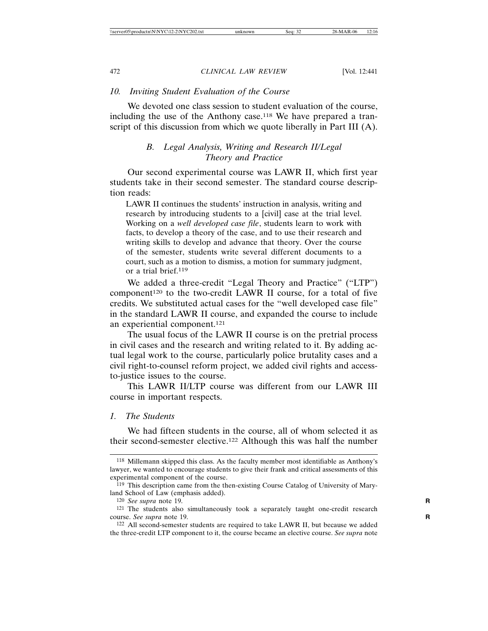# *10. Inviting Student Evaluation of the Course*

We devoted one class session to student evaluation of the course, including the use of the Anthony case.118 We have prepared a transcript of this discussion from which we quote liberally in Part III (A).

# *B. Legal Analysis, Writing and Research II/Legal Theory and Practice*

Our second experimental course was LAWR II, which first year students take in their second semester. The standard course description reads:

LAWR II continues the students' instruction in analysis, writing and research by introducing students to a [civil] case at the trial level. Working on a *well developed case file*, students learn to work with facts, to develop a theory of the case, and to use their research and writing skills to develop and advance that theory. Over the course of the semester, students write several different documents to a court, such as a motion to dismiss, a motion for summary judgment, or a trial brief.119

We added a three-credit "Legal Theory and Practice" ("LTP") component<sup>120</sup> to the two-credit LAWR II course, for a total of five credits. We substituted actual cases for the "well developed case file" in the standard LAWR II course, and expanded the course to include an experiential component.121

The usual focus of the LAWR II course is on the pretrial process in civil cases and the research and writing related to it. By adding actual legal work to the course, particularly police brutality cases and a civil right-to-counsel reform project, we added civil rights and accessto-justice issues to the course.

This LAWR II/LTP course was different from our LAWR III course in important respects.

# *1. The Students*

We had fifteen students in the course, all of whom selected it as their second-semester elective.122 Although this was half the number

<sup>118</sup> Millemann skipped this class. As the faculty member most identifiable as Anthony's lawyer, we wanted to encourage students to give their frank and critical assessments of this experimental component of the course.

<sup>&</sup>lt;sup>119</sup> This description came from the then-existing Course Catalog of University of Maryland School of Law (emphasis added).

<sup>120</sup> *See supra* note 19. **R**

<sup>121</sup> The students also simultaneously took a separately taught one-credit research course. *See supra* note 19. **R**

<sup>122</sup> All second-semester students are required to take LAWR II, but because we added the three-credit LTP component to it, the course became an elective course. *See supra* note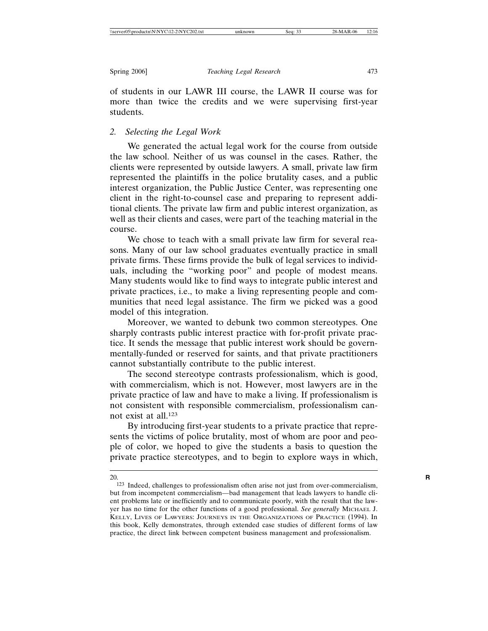of students in our LAWR III course, the LAWR II course was for more than twice the credits and we were supervising first-year students.

# *2. Selecting the Legal Work*

We generated the actual legal work for the course from outside the law school. Neither of us was counsel in the cases. Rather, the clients were represented by outside lawyers. A small, private law firm represented the plaintiffs in the police brutality cases, and a public interest organization, the Public Justice Center, was representing one client in the right-to-counsel case and preparing to represent additional clients. The private law firm and public interest organization, as well as their clients and cases, were part of the teaching material in the course.

We chose to teach with a small private law firm for several reasons. Many of our law school graduates eventually practice in small private firms. These firms provide the bulk of legal services to individuals, including the "working poor" and people of modest means. Many students would like to find ways to integrate public interest and private practices, i.e., to make a living representing people and communities that need legal assistance. The firm we picked was a good model of this integration.

Moreover, we wanted to debunk two common stereotypes. One sharply contrasts public interest practice with for-profit private practice. It sends the message that public interest work should be governmentally-funded or reserved for saints, and that private practitioners cannot substantially contribute to the public interest.

The second stereotype contrasts professionalism, which is good, with commercialism, which is not. However, most lawyers are in the private practice of law and have to make a living. If professionalism is not consistent with responsible commercialism, professionalism cannot exist at all.123

By introducing first-year students to a private practice that represents the victims of police brutality, most of whom are poor and people of color, we hoped to give the students a basis to question the private practice stereotypes, and to begin to explore ways in which,

<sup>20.</sup> **R**

<sup>123</sup> Indeed, challenges to professionalism often arise not just from over-commercialism, but from incompetent commercialism—bad management that leads lawyers to handle client problems late or inefficiently and to communicate poorly, with the result that the lawyer has no time for the other functions of a good professional. *See generally* MICHAEL J. KELLY, LIVES OF LAWYERS: JOURNEYS IN THE ORGANIZATIONS OF PRACTICE (1994). In this book, Kelly demonstrates, through extended case studies of different forms of law practice, the direct link between competent business management and professionalism.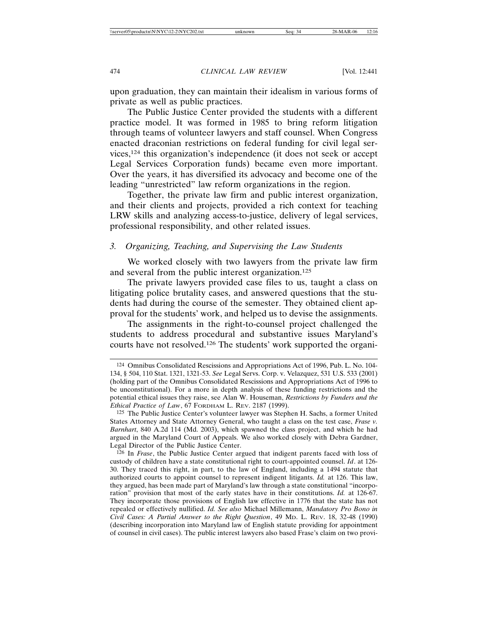upon graduation, they can maintain their idealism in various forms of private as well as public practices.

The Public Justice Center provided the students with a different practice model. It was formed in 1985 to bring reform litigation through teams of volunteer lawyers and staff counsel. When Congress enacted draconian restrictions on federal funding for civil legal services,124 this organization's independence (it does not seek or accept Legal Services Corporation funds) became even more important. Over the years, it has diversified its advocacy and become one of the leading "unrestricted" law reform organizations in the region.

Together, the private law firm and public interest organization, and their clients and projects, provided a rich context for teaching LRW skills and analyzing access-to-justice, delivery of legal services, professional responsibility, and other related issues.

# *3. Organizing, Teaching, and Supervising the Law Students*

We worked closely with two lawyers from the private law firm and several from the public interest organization.125

The private lawyers provided case files to us, taught a class on litigating police brutality cases, and answered questions that the students had during the course of the semester. They obtained client approval for the students' work, and helped us to devise the assignments.

The assignments in the right-to-counsel project challenged the students to address procedural and substantive issues Maryland's courts have not resolved.126 The students' work supported the organi-

126 In *Frase*, the Public Justice Center argued that indigent parents faced with loss of custody of children have a state constitutional right to court-appointed counsel. *Id*. at 126- 30. They traced this right, in part, to the law of England, including a 1494 statute that authorized courts to appoint counsel to represent indigent litigants. *Id.* at 126. This law, they argued, has been made part of Maryland's law through a state constitutional "incorporation" provision that most of the early states have in their constitutions. *Id.* at 126-67. They incorporate those provisions of English law effective in 1776 that the state has not repealed or effectively nullified. *Id. See also* Michael Millemann, *Mandatory Pro Bono in Civil Cases: A Partial Answer to the Right Question*, 49 MD. L. REV. 18, 32-48 (1990) (describing incorporation into Maryland law of English statute providing for appointment of counsel in civil cases). The public interest lawyers also based Frase's claim on two provi-

<sup>124</sup> Omnibus Consolidated Rescissions and Appropriations Act of 1996, Pub. L. No. 104- 134, § 504, 110 Stat. 1321, 1321-53. *See* Legal Servs. Corp. v. Velazquez, 531 U.S. 533 (2001) (holding part of the Omnibus Consolidated Rescissions and Appropriations Act of 1996 to be unconstitutional). For a more in depth analysis of these funding restrictions and the potential ethical issues they raise, see Alan W. Houseman, *Restrictions by Funders and the Ethical Practice of Law*, 67 FORDHAM L. REV. 2187 (1999).

<sup>125</sup> The Public Justice Center's volunteer lawyer was Stephen H. Sachs, a former United States Attorney and State Attorney General, who taught a class on the test case, *Frase v. Barnhart*, 840 A.2d 114 (Md. 2003), which spawned the class project, and which he had argued in the Maryland Court of Appeals. We also worked closely with Debra Gardner, Legal Director of the Public Justice Center.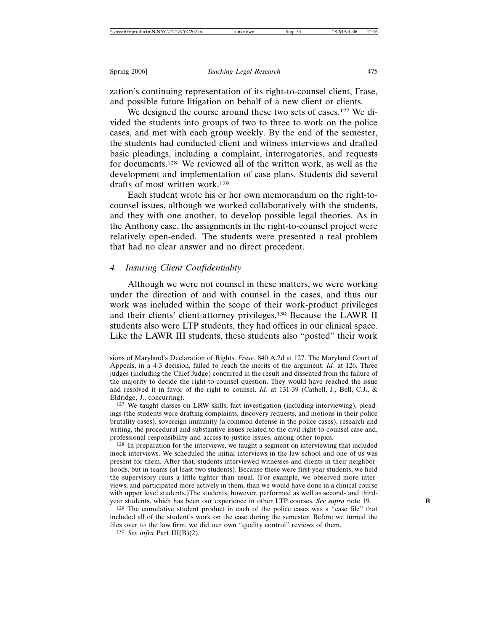zation's continuing representation of its right-to-counsel client, Frase, and possible future litigation on behalf of a new client or clients.

We designed the course around these two sets of cases.<sup>127</sup> We divided the students into groups of two to three to work on the police cases, and met with each group weekly. By the end of the semester, the students had conducted client and witness interviews and drafted basic pleadings, including a complaint, interrogatories, and requests for documents.128 We reviewed all of the written work, as well as the development and implementation of case plans. Students did several drafts of most written work.129

Each student wrote his or her own memorandum on the right-tocounsel issues, although we worked collaboratively with the students, and they with one another, to develop possible legal theories. As in the Anthony case, the assignments in the right-to-counsel project were relatively open-ended. The students were presented a real problem that had no clear answer and no direct precedent.

# *4. Insuring Client Confidentiality*

Although we were not counsel in these matters, we were working under the direction of and with counsel in the cases, and thus our work was included within the scope of their work-product privileges and their clients' client-attorney privileges.130 Because the LAWR II students also were LTP students, they had offices in our clinical space. Like the LAWR III students, these students also "posted" their work

128 In preparation for the interviews, we taught a segment on interviewing that included mock interviews. We scheduled the initial interviews in the law school and one of us was present for them. After that, students interviewed witnesses and clients in their neighborhoods, but in teams (at least two students). Because these were first-year students, we held the supervisory reins a little tighter than usual. (For example, we observed more interviews, and participated more actively in them, than we would have done in a clinical course with upper level students.)The students, however, performed as well as second- and thirdyear students, which has been our experience in other LTP courses. *See supra* note 19. **R**

sions of Maryland's Declaration of Rights. *Frase*, 840 A.2d at 127. The Maryland Court of Appeals, in a 4-3 decision, failed to reach the merits of the argument. *Id*. at 126. Three judges (including the Chief Judge) concurred in the result and dissented from the failure of the majority to decide the right-to-counsel question. They would have reached the issue and resolved it in favor of the right to counsel. *Id.* at 131-39 (Cathell, J., Bell, C.J., & Eldridge, J., concurring).

<sup>127</sup> We taught classes on LRW skills, fact investigation (including interviewing), pleadings (the students were drafting complaints, discovery requests, and motions in their police brutality cases), sovereign immunity (a common defense in the police cases), research and writing, the procedural and substantive issues related to the civil right-to-counsel case and, professional responsibility and access-to-justice issues, among other topics.

<sup>129</sup> The cumulative student product in each of the police cases was a "case file" that included all of the student's work on the case during the semester. Before we turned the files over to the law firm, we did our own "quality control" reviews of them.

<sup>130</sup> *See infra* Part III(B)(2).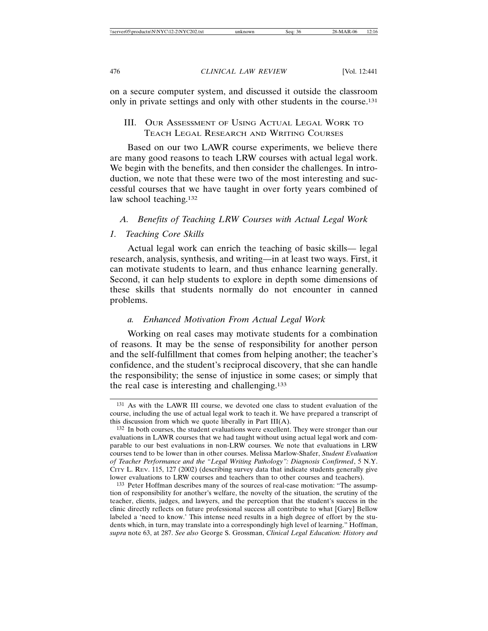on a secure computer system, and discussed it outside the classroom only in private settings and only with other students in the course.131

# III. OUR ASSESSMENT OF USING ACTUAL LEGAL WORK TO TEACH LEGAL RESEARCH AND WRITING COURSES

Based on our two LAWR course experiments, we believe there are many good reasons to teach LRW courses with actual legal work. We begin with the benefits, and then consider the challenges. In introduction, we note that these were two of the most interesting and successful courses that we have taught in over forty years combined of law school teaching.<sup>132</sup>

# *A. Benefits of Teaching LRW Courses with Actual Legal Work*

## *1. Teaching Core Skills*

Actual legal work can enrich the teaching of basic skills— legal research, analysis, synthesis, and writing—in at least two ways. First, it can motivate students to learn, and thus enhance learning generally. Second, it can help students to explore in depth some dimensions of these skills that students normally do not encounter in canned problems.

# *a. Enhanced Motivation From Actual Legal Work*

Working on real cases may motivate students for a combination of reasons. It may be the sense of responsibility for another person and the self-fulfillment that comes from helping another; the teacher's confidence, and the student's reciprocal discovery, that she can handle the responsibility; the sense of injustice in some cases; or simply that the real case is interesting and challenging.133

<sup>131</sup> As with the LAWR III course, we devoted one class to student evaluation of the course, including the use of actual legal work to teach it. We have prepared a transcript of this discussion from which we quote liberally in Part  $III(A)$ .

<sup>132</sup> In both courses, the student evaluations were excellent. They were stronger than our evaluations in LAWR courses that we had taught without using actual legal work and comparable to our best evaluations in non-LRW courses. We note that evaluations in LRW courses tend to be lower than in other courses. Melissa Marlow-Shafer, *Student Evaluation of Teacher Performance and the "Legal Writing Pathology": Diagnosis Confirmed*, 5 N.Y. CITY L. REV. 115, 127 (2002) (describing survey data that indicate students generally give lower evaluations to LRW courses and teachers than to other courses and teachers).

<sup>133</sup> Peter Hoffman describes many of the sources of real-case motivation: "The assumption of responsibility for another's welfare, the novelty of the situation, the scrutiny of the teacher, clients, judges, and lawyers, and the perception that the student's success in the clinic directly reflects on future professional success all contribute to what [Gary] Bellow labeled a 'need to know.' This intense need results in a high degree of effort by the students which, in turn, may translate into a correspondingly high level of learning." Hoffman, *supra* note 63, at 287. *See also* George S. Grossman, *Clinical Legal Education: History and*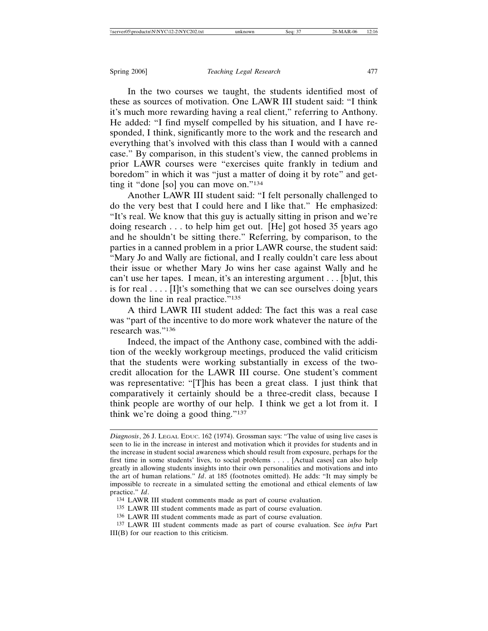In the two courses we taught, the students identified most of these as sources of motivation. One LAWR III student said: "I think it's much more rewarding having a real client," referring to Anthony. He added: "I find myself compelled by his situation, and I have responded, I think, significantly more to the work and the research and everything that's involved with this class than I would with a canned case." By comparison, in this student's view, the canned problems in prior LAWR courses were "exercises quite frankly in tedium and boredom" in which it was "just a matter of doing it by rote" and getting it "done [so] you can move on."134

Another LAWR III student said: "I felt personally challenged to do the very best that I could here and I like that." He emphasized: "It's real. We know that this guy is actually sitting in prison and we're doing research . . . to help him get out. [He] got hosed 35 years ago and he shouldn't be sitting there." Referring, by comparison, to the parties in a canned problem in a prior LAWR course, the student said: "Mary Jo and Wally are fictional, and I really couldn't care less about their issue or whether Mary Jo wins her case against Wally and he can't use her tapes. I mean, it's an interesting argument . . . [b]ut, this is for real  $\dots$  [I]t's something that we can see ourselves doing years down the line in real practice."<sup>135</sup>

A third LAWR III student added: The fact this was a real case was "part of the incentive to do more work whatever the nature of the research was."136

Indeed, the impact of the Anthony case, combined with the addition of the weekly workgroup meetings, produced the valid criticism that the students were working substantially in excess of the twocredit allocation for the LAWR III course. One student's comment was representative: "[T]his has been a great class. I just think that comparatively it certainly should be a three-credit class, because I think people are worthy of our help. I think we get a lot from it. I think we're doing a good thing."137

*Diagnosis*, 26 J. LEGAL EDUC. 162 (1974). Grossman says: "The value of using live cases is seen to lie in the increase in interest and motivation which it provides for students and in the increase in student social awareness which should result from exposure, perhaps for the first time in some students' lives, to social problems . . . . [Actual cases] can also help greatly in allowing students insights into their own personalities and motivations and into the art of human relations." *Id*. at 185 (footnotes omitted). He adds: "It may simply be impossible to recreate in a simulated setting the emotional and ethical elements of law practice." *Id*.

<sup>134</sup> LAWR III student comments made as part of course evaluation.

<sup>135</sup> LAWR III student comments made as part of course evaluation.

<sup>136</sup> LAWR III student comments made as part of course evaluation.

<sup>137</sup> LAWR III student comments made as part of course evaluation. See *infra* Part III(B) for our reaction to this criticism.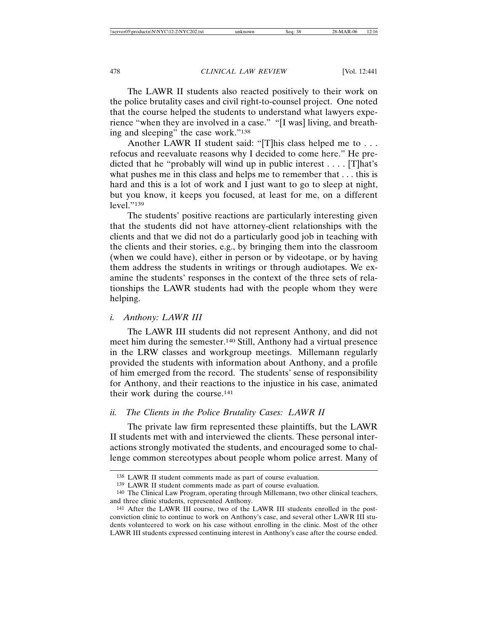The LAWR II students also reacted positively to their work on the police brutality cases and civil right-to-counsel project. One noted that the course helped the students to understand what lawyers experience "when they are involved in a case." "[I was] living, and breathing and sleeping" the case work."138

Another LAWR II student said: "[T]his class helped me to . . . refocus and reevaluate reasons why I decided to come here." He predicted that he "probably will wind up in public interest  $\dots$  [T]hat's what pushes me in this class and helps me to remember that . . . this is hard and this is a lot of work and I just want to go to sleep at night, but you know, it keeps you focused, at least for me, on a different level."139

The students' positive reactions are particularly interesting given that the students did not have attorney-client relationships with the clients and that we did not do a particularly good job in teaching with the clients and their stories, e.g., by bringing them into the classroom (when we could have), either in person or by videotape, or by having them address the students in writings or through audiotapes. We examine the students' responses in the context of the three sets of relationships the LAWR students had with the people whom they were helping.

# *i. Anthony: LAWR III*

The LAWR III students did not represent Anthony, and did not meet him during the semester.140 Still, Anthony had a virtual presence in the LRW classes and workgroup meetings. Millemann regularly provided the students with information about Anthony, and a profile of him emerged from the record. The students' sense of responsibility for Anthony, and their reactions to the injustice in his case, animated their work during the course.141

# *ii. The Clients in the Police Brutality Cases: LAWR II*

The private law firm represented these plaintiffs, but the LAWR II students met with and interviewed the clients. These personal interactions strongly motivated the students, and encouraged some to challenge common stereotypes about people whom police arrest. Many of

<sup>138</sup> LAWR II student comments made as part of course evaluation.

<sup>139</sup> LAWR II student comments made as part of course evaluation.

<sup>140</sup> The Clinical Law Program, operating through Millemann, two other clinical teachers, and three clinic students, represented Anthony.

<sup>141</sup> After the LAWR III course, two of the LAWR III students enrolled in the postconviction clinic to continue to work on Anthony's case, and several other LAWR III students volunteered to work on his case without enrolling in the clinic. Most of the other LAWR III students expressed continuing interest in Anthony's case after the course ended.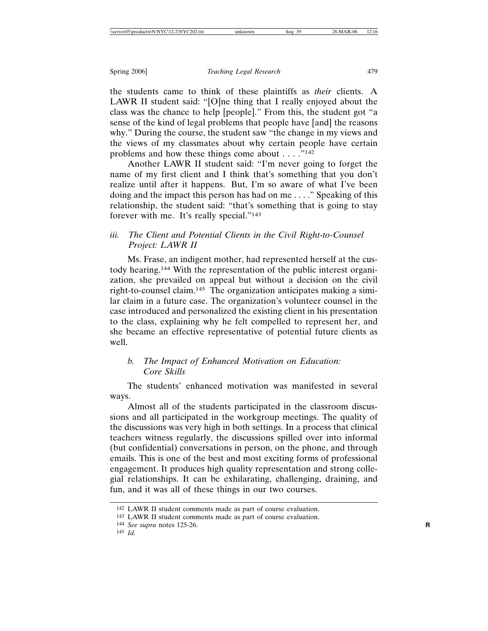the students came to think of these plaintiffs as *their* clients. A LAWR II student said: "[O]ne thing that I really enjoyed about the class was the chance to help [people]." From this, the student got "a sense of the kind of legal problems that people have [and] the reasons why." During the course, the student saw "the change in my views and the views of my classmates about why certain people have certain problems and how these things come about . . . ."142

Another LAWR II student said: "I'm never going to forget the name of my first client and I think that's something that you don't realize until after it happens. But, I'm so aware of what I've been doing and the impact this person has had on me . . . ." Speaking of this relationship, the student said: "that's something that is going to stay forever with me. It's really special."143

# *iii. The Client and Potential Clients in the Civil Right-to-Counsel Project: LAWR II*

Ms. Frase, an indigent mother, had represented herself at the custody hearing.144 With the representation of the public interest organization, she prevailed on appeal but without a decision on the civil right-to-counsel claim.145 The organization anticipates making a similar claim in a future case. The organization's volunteer counsel in the case introduced and personalized the existing client in his presentation to the class, explaining why he felt compelled to represent her, and she became an effective representative of potential future clients as well.

# *b. The Impact of Enhanced Motivation on Education: Core Skills*

The students' enhanced motivation was manifested in several ways.

Almost all of the students participated in the classroom discussions and all participated in the workgroup meetings. The quality of the discussions was very high in both settings. In a process that clinical teachers witness regularly, the discussions spilled over into informal (but confidential) conversations in person, on the phone, and through emails. This is one of the best and most exciting forms of professional engagement. It produces high quality representation and strong collegial relationships. It can be exhilarating, challenging, draining, and fun, and it was all of these things in our two courses.

<sup>142</sup> LAWR II student comments made as part of course evaluation.

<sup>143</sup> LAWR II student comments made as part of course evaluation.

<sup>144</sup> *See supra* notes 125-26. **R**

<sup>145</sup> *Id.*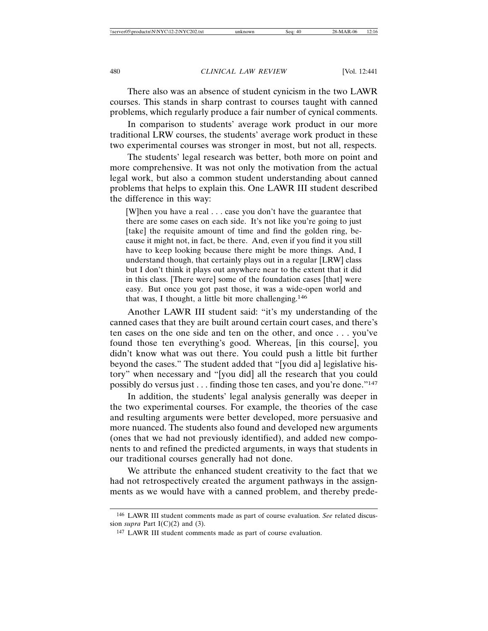There also was an absence of student cynicism in the two LAWR courses. This stands in sharp contrast to courses taught with canned problems, which regularly produce a fair number of cynical comments.

In comparison to students' average work product in our more traditional LRW courses, the students' average work product in these two experimental courses was stronger in most, but not all, respects.

The students' legal research was better, both more on point and more comprehensive. It was not only the motivation from the actual legal work, but also a common student understanding about canned problems that helps to explain this. One LAWR III student described the difference in this way:

[W]hen you have a real . . . case you don't have the guarantee that there are some cases on each side. It's not like you're going to just [take] the requisite amount of time and find the golden ring, because it might not, in fact, be there. And, even if you find it you still have to keep looking because there might be more things. And, I understand though, that certainly plays out in a regular [LRW] class but I don't think it plays out anywhere near to the extent that it did in this class. [There were] some of the foundation cases [that] were easy. But once you got past those, it was a wide-open world and that was, I thought, a little bit more challenging.146

Another LAWR III student said: "it's my understanding of the canned cases that they are built around certain court cases, and there's ten cases on the one side and ten on the other, and once . . . you've found those ten everything's good. Whereas, [in this course], you didn't know what was out there. You could push a little bit further beyond the cases." The student added that "[you did a] legislative history" when necessary and "[you did] all the research that you could possibly do versus just . . . finding those ten cases, and you're done."147

In addition, the students' legal analysis generally was deeper in the two experimental courses. For example, the theories of the case and resulting arguments were better developed, more persuasive and more nuanced. The students also found and developed new arguments (ones that we had not previously identified), and added new components to and refined the predicted arguments, in ways that students in our traditional courses generally had not done.

We attribute the enhanced student creativity to the fact that we had not retrospectively created the argument pathways in the assignments as we would have with a canned problem, and thereby prede-

<sup>146</sup> LAWR III student comments made as part of course evaluation. *See* related discussion *supra* Part  $I(C)(2)$  and (3).

<sup>147</sup> LAWR III student comments made as part of course evaluation.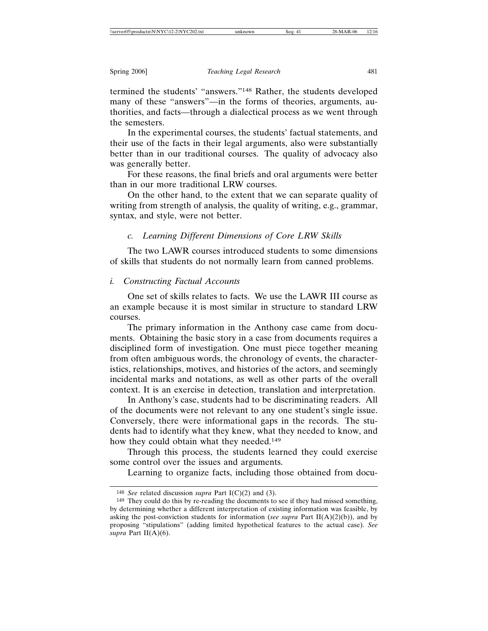termined the students' "answers."148 Rather, the students developed many of these "answers"—in the forms of theories, arguments, authorities, and facts—through a dialectical process as we went through the semesters.

In the experimental courses, the students' factual statements, and their use of the facts in their legal arguments, also were substantially better than in our traditional courses. The quality of advocacy also was generally better.

For these reasons, the final briefs and oral arguments were better than in our more traditional LRW courses.

On the other hand, to the extent that we can separate quality of writing from strength of analysis, the quality of writing, e.g., grammar, syntax, and style, were not better.

# *c. Learning Different Dimensions of Core LRW Skills*

The two LAWR courses introduced students to some dimensions of skills that students do not normally learn from canned problems.

## *i. Constructing Factual Accounts*

One set of skills relates to facts. We use the LAWR III course as an example because it is most similar in structure to standard LRW courses.

The primary information in the Anthony case came from documents. Obtaining the basic story in a case from documents requires a disciplined form of investigation. One must piece together meaning from often ambiguous words, the chronology of events, the characteristics, relationships, motives, and histories of the actors, and seemingly incidental marks and notations, as well as other parts of the overall context. It is an exercise in detection, translation and interpretation.

In Anthony's case, students had to be discriminating readers. All of the documents were not relevant to any one student's single issue. Conversely, there were informational gaps in the records. The students had to identify what they knew, what they needed to know, and how they could obtain what they needed.<sup>149</sup>

Through this process, the students learned they could exercise some control over the issues and arguments.

Learning to organize facts, including those obtained from docu-

<sup>148</sup> *See* related discussion *supra* Part I(C)(2) and (3).

<sup>149</sup> They could do this by re-reading the documents to see if they had missed something, by determining whether a different interpretation of existing information was feasible, by asking the post-conviction students for information (*see supra* Part II(A)(2)(b)), and by proposing "stipulations" (adding limited hypothetical features to the actual case). *See supra* Part II(A)(6).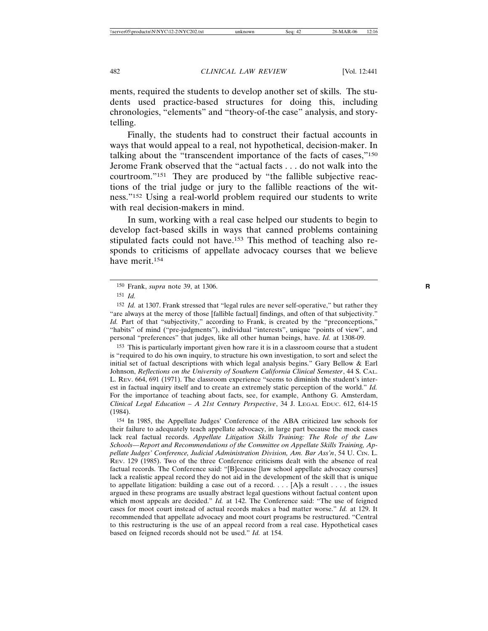ments, required the students to develop another set of skills. The students used practice-based structures for doing this, including chronologies, "elements" and "theory-of-the case" analysis, and storytelling.

Finally, the students had to construct their factual accounts in ways that would appeal to a real, not hypothetical, decision-maker. In talking about the "transcendent importance of the facts of cases,"150 Jerome Frank observed that the "actual facts . . . do not walk into the courtroom."151 They are produced by "the fallible subjective reactions of the trial judge or jury to the fallible reactions of the witness."152 Using a real-world problem required our students to write with real decision-makers in mind.

In sum, working with a real case helped our students to begin to develop fact-based skills in ways that canned problems containing stipulated facts could not have.153 This method of teaching also responds to criticisms of appellate advocacy courses that we believe have merit.154

153 This is particularly important given how rare it is in a classroom course that a student is "required to do his own inquiry, to structure his own investigation, to sort and select the initial set of factual descriptions with which legal analysis begins." Gary Bellow & Earl Johnson, *Reflections on the University of Southern California Clinical Semester*, 44 S. CAL. L. REV. 664, 691 (1971). The classroom experience "seems to diminish the student's interest in factual inquiry itself and to create an extremely static perception of the world." *Id.* For the importance of teaching about facts, see, for example, Anthony G. Amsterdam, *Clinical Legal Education – A 21st Century Perspective*, 34 J. LEGAL EDUC. 612, 614-15 (1984).

<sup>150</sup> Frank, *supra* note 39, at 1306. **R**

<sup>151</sup> *Id.*

<sup>152</sup> *Id.* at 1307. Frank stressed that "legal rules are never self-operative," but rather they "are always at the mercy of those [fallible factual] findings, and often of that subjectivity." *Id.* Part of that "subjectivity," according to Frank, is created by the "preconceptions," "habits" of mind ("pre-judgments"), individual "interests", unique "points of view", and personal "preferences" that judges, like all other human beings, have. *Id.* at 1308-09.

<sup>154</sup> In 1985, the Appellate Judges' Conference of the ABA criticized law schools for their failure to adequately teach appellate advocacy, in large part because the mock cases lack real factual records. *Appellate Litigation Skills Training: The Role of the Law Schools—Report and Recommendations of the Committee on Appellate Skills Training, Appellate Judges' Conference, Judicial Administration Division, Am. Bar Ass'n*, 54 U. CIN. L. REV. 129 (1985). Two of the three Conference criticisms dealt with the absence of real factual records. The Conference said: "[B]ecause [law school appellate advocacy courses] lack a realistic appeal record they do not aid in the development of the skill that is unique to appellate litigation: building a case out of a record. . . . [A]s a result . . . , the issues argued in these programs are usually abstract legal questions without factual content upon which most appeals are decided." *Id.* at 142. The Conference said: "The use of feigned cases for moot court instead of actual records makes a bad matter worse." *Id.* at 129. It recommended that appellate advocacy and moot court programs be restructured. "Central to this restructuring is the use of an appeal record from a real case. Hypothetical cases based on feigned records should not be used." *Id.* at 154.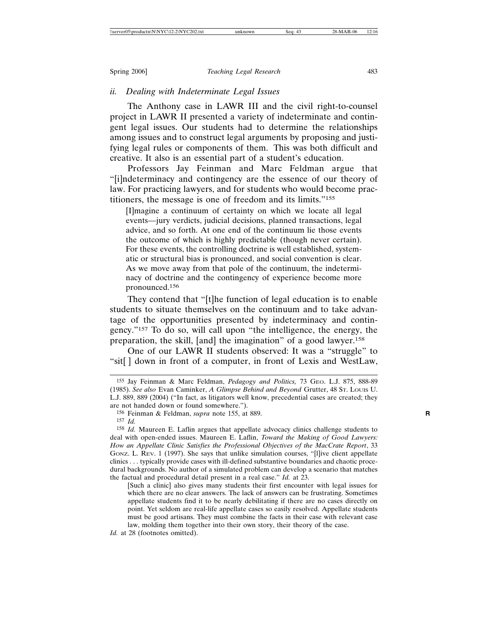# *ii. Dealing with Indeterminate Legal Issues*

The Anthony case in LAWR III and the civil right-to-counsel project in LAWR II presented a variety of indeterminate and contingent legal issues. Our students had to determine the relationships among issues and to construct legal arguments by proposing and justifying legal rules or components of them. This was both difficult and creative. It also is an essential part of a student's education.

Professors Jay Feinman and Marc Feldman argue that "[i]ndeterminacy and contingency are the essence of our theory of law. For practicing lawyers, and for students who would become practitioners, the message is one of freedom and its limits."155

[I]magine a continuum of certainty on which we locate all legal events—jury verdicts, judicial decisions, planned transactions, legal advice, and so forth. At one end of the continuum lie those events the outcome of which is highly predictable (though never certain). For these events, the controlling doctrine is well established, systematic or structural bias is pronounced, and social convention is clear. As we move away from that pole of the continuum, the indeterminacy of doctrine and the contingency of experience become more pronounced.<sup>156</sup>

They contend that "[t]he function of legal education is to enable students to situate themselves on the continuum and to take advantage of the opportunities presented by indeterminacy and contingency."157 To do so, will call upon "the intelligence, the energy, the preparation, the skill, [and] the imagination" of a good lawyer.158

One of our LAWR II students observed: It was a "struggle" to "sit[ ] down in front of a computer, in front of Lexis and WestLaw,

<sup>155</sup> Jay Feinman & Marc Feldman, *Pedagogy and Politics,* 73 GEO. L.J. 875, 888-89 (1985). *See also* Evan Caminker, *A Glimpse Behind and Beyond* Grutter, 48 ST. LOUIS U. L.J. 889, 889 (2004) ("In fact, as litigators well know, precedential cases are created; they are not handed down or found somewhere.").

<sup>156</sup> Feinman & Feldman, *supra* note 155, at 889. **R**

<sup>157</sup> *Id.*

<sup>158</sup> *Id.* Maureen E. Laflin argues that appellate advocacy clinics challenge students to deal with open-ended issues. Maureen E. Laflin, *Toward the Making of Good Lawyers: How an Appellate Clinic Satisfies the Professional Objectives of the MacCrate Report*, 33 GONZ. L. REV. 1 (1997). She says that unlike simulation courses, "[l]ive client appellate clinics . . . typically provide cases with ill-defined substantive boundaries and chaotic procedural backgrounds. No author of a simulated problem can develop a scenario that matches the factual and procedural detail present in a real case." *Id.* at 23.

<sup>[</sup>Such a clinic] also gives many students their first encounter with legal issues for which there are no clear answers. The lack of answers can be frustrating. Sometimes appellate students find it to be nearly debilitating if there are no cases directly on point. Yet seldom are real-life appellate cases so easily resolved. Appellate students must be good artisans. They must combine the facts in their case with relevant case law, molding them together into their own story, their theory of the case.

*Id.* at 28 (footnotes omitted).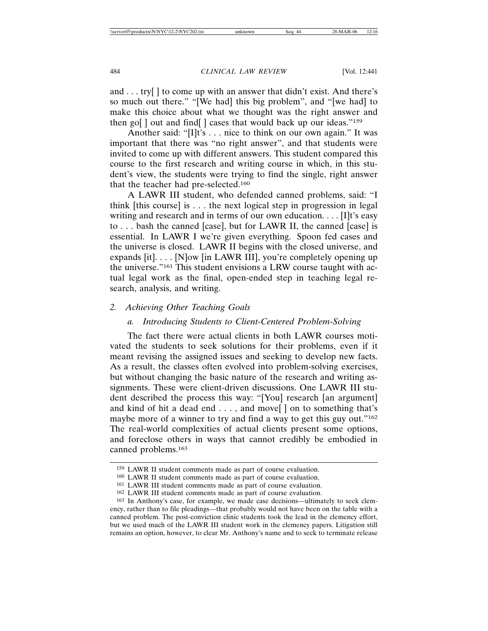and . . . try[ ] to come up with an answer that didn't exist. And there's so much out there." "[We had] this big problem", and "[we had] to make this choice about what we thought was the right answer and then go[ ] out and find[ ] cases that would back up our ideas."159

Another said: "[I]t's . . . nice to think on our own again." It was important that there was "no right answer", and that students were invited to come up with different answers. This student compared this course to the first research and writing course in which, in this student's view, the students were trying to find the single, right answer that the teacher had pre-selected.160

A LAWR III student, who defended canned problems, said: "I think [this course] is . . . the next logical step in progression in legal writing and research and in terms of our own education.... [I]t's easy to . . . bash the canned [case], but for LAWR II, the canned [case] is essential. In LAWR I we're given everything. Spoon fed cases and the universe is closed. LAWR II begins with the closed universe, and expands [it]. . . . [N]ow [in LAWR III], you're completely opening up the universe."161 This student envisions a LRW course taught with actual legal work as the final, open-ended step in teaching legal research, analysis, and writing.

# *2. Achieving Other Teaching Goals*

# *a. Introducing Students to Client-Centered Problem-Solving*

The fact there were actual clients in both LAWR courses motivated the students to seek solutions for their problems, even if it meant revising the assigned issues and seeking to develop new facts. As a result, the classes often evolved into problem-solving exercises, but without changing the basic nature of the research and writing assignments. These were client-driven discussions. One LAWR III student described the process this way: "[You] research [an argument] and kind of hit a dead end . . . , and move[ ] on to something that's maybe more of a winner to try and find a way to get this guy out."<sup>162</sup> The real-world complexities of actual clients present some options, and foreclose others in ways that cannot credibly be embodied in canned problems.163

<sup>159</sup> LAWR II student comments made as part of course evaluation.

<sup>160</sup> LAWR II student comments made as part of course evaluation.

<sup>161</sup> LAWR III student comments made as part of course evaluation.

<sup>162</sup> LAWR III student comments made as part of course evaluation.

<sup>163</sup> In Anthony's case, for example, we made case decisions—ultimately to seek clemency, rather than to file pleadings—that probably would not have been on the table with a canned problem. The post-conviction clinic students took the lead in the clemency effort, but we used much of the LAWR III student work in the clemency papers. Litigation still remains an option, however, to clear Mr. Anthony's name and to seek to terminate release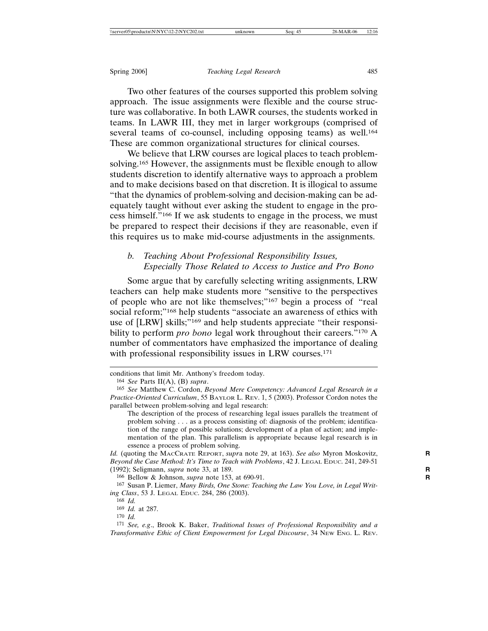Two other features of the courses supported this problem solving approach. The issue assignments were flexible and the course structure was collaborative. In both LAWR courses, the students worked in teams. In LAWR III, they met in larger workgroups (comprised of several teams of co-counsel, including opposing teams) as well.<sup>164</sup> These are common organizational structures for clinical courses.

We believe that LRW courses are logical places to teach problemsolving.165 However, the assignments must be flexible enough to allow students discretion to identify alternative ways to approach a problem and to make decisions based on that discretion. It is illogical to assume "that the dynamics of problem-solving and decision-making can be adequately taught without ever asking the student to engage in the process himself."166 If we ask students to engage in the process, we must be prepared to respect their decisions if they are reasonable, even if this requires us to make mid-course adjustments in the assignments.

# *b. Teaching About Professional Responsibility Issues, Especially Those Related to Access to Justice and Pro Bono*

Some argue that by carefully selecting writing assignments, LRW teachers can help make students more "sensitive to the perspectives of people who are not like themselves;"167 begin a process of "real social reform;"168 help students "associate an awareness of ethics with use of [LRW] skills;"169 and help students appreciate "their responsibility to perform *pro bono* legal work throughout their careers."170 A number of commentators have emphasized the importance of dealing with professional responsibility issues in LRW courses.<sup>171</sup>

*Id.* (quoting the MACCRATE REPORT, *supr*a note 29, at 163). *See also* Myron Moskovitz, **R** *Beyond the Case Method: It's Time to Teach with Problems*, 42 J. LEGAL EDUC. 241, 249-51 (1992); Seligmann, *supra* note 33, at 189. **R**

166 Bellow & Johnson, *supra* note 153, at 690-91. **R**

conditions that limit Mr. Anthony's freedom today.

<sup>164</sup> *See* Parts II(A), (B) *supra*.

<sup>165</sup> *See* Matthew C. Cordon, *Beyond Mere Competency: Advanced Legal Research in a Practice-Oriented Curriculum*, 55 BAYLOR L. REV. 1, 5 (2003). Professor Cordon notes the parallel between problem-solving and legal research:

The description of the process of researching legal issues parallels the treatment of problem solving . . . as a process consisting of: diagnosis of the problem; identification of the range of possible solutions; development of a plan of action; and implementation of the plan. This parallelism is appropriate because legal research is in essence a process of problem solving.

<sup>167</sup> Susan P. Liemer, *Many Birds, One Stone: Teaching the Law You Love, in Legal Writing Class*, 53 J. LEGAL EDUC. 284, 286 (2003).

<sup>168</sup> *Id.* 169 *Id.* at 287.

<sup>170</sup> *Id.*

<sup>171</sup> *See, e.g*., Brook K. Baker, *Traditional Issues of Professional Responsibility and a Transformative Ethic of Client Empowerment for Legal Discourse*, 34 NEW ENG. L. REV.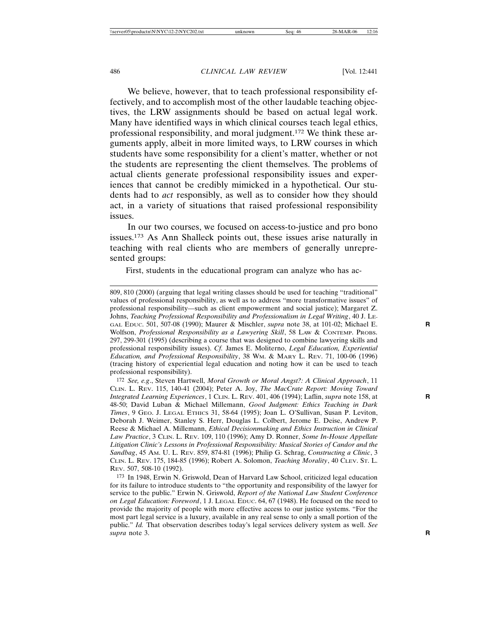We believe, however, that to teach professional responsibility effectively, and to accomplish most of the other laudable teaching objectives, the LRW assignments should be based on actual legal work. Many have identified ways in which clinical courses teach legal ethics, professional responsibility, and moral judgment.172 We think these arguments apply, albeit in more limited ways, to LRW courses in which students have some responsibility for a client's matter, whether or not the students are representing the client themselves. The problems of actual clients generate professional responsibility issues and experiences that cannot be credibly mimicked in a hypothetical. Our students had to *act* responsibly, as well as to consider how they should act, in a variety of situations that raised professional responsibility issues.

In our two courses, we focused on access-to-justice and pro bono issues.173 As Ann Shalleck points out, these issues arise naturally in teaching with real clients who are members of generally unrepresented groups:

First, students in the educational program can analyze who has ac-

<sup>809, 810 (2000) (</sup>arguing that legal writing classes should be used for teaching "traditional" values of professional responsibility, as well as to address "more transformative issues" of professional responsibility—such as client empowerment and social justice); Margaret Z. Johns, *Teaching Professional Responsibility and Professionalism in Legal Writing*, 40 J. LE-GAL EDUC. 501, 507-08 (1990); Maurer & Mischler, *supra* note 38, at 101-02; Michael E. **R** Wolfson, *Professional Responsibility as a Lawyering Skill*, 58 LAW & CONTEMP. PROBS. 297, 299-301 (1995) (describing a course that was designed to combine lawyering skills and professional responsibility issues). *Cf.* James E. Moliterno, *Legal Education, Experiential Education, and Professional Responsibility*, 38 WM. & MARY L. REV. 71, 100-06 (1996) (tracing history of experiential legal education and noting how it can be used to teach professional responsibility).

<sup>172</sup> *See, e.g*., Steven Hartwell, *Moral Growth or Moral Angst?: A Clinical Approach*, 11 CLIN. L. REV. 115, 140-41 (2004); Peter A. Joy, *The MacCrate Report: Moving Toward Integrated Learning Experiences*, 1 CLIN. L. REV. 401, 406 (1994); Laflin, *supra* note 158, at **R** 48-50; David Luban & Michael Millemann, *Good Judgment: Ethics Teaching in Dark Times*, 9 GEO. J. LEGAL ETHICS 31, 58-64 (1995); Joan L. O'Sullivan, Susan P. Leviton, Deborah J. Weimer, Stanley S. Herr, Douglas L. Colbert, Jerome E. Deise, Andrew P. Reese & Michael A. Millemann, *Ethical Decisionmaking and Ethics Instruction in Clinical Law Practice*, 3 CLIN. L. REV. 109, 110 (1996); Amy D. Ronner, *Some In-House Appellate Litigation Clinic's Lessons in Professional Responsibility: Musical Stories of Candor and the Sandbag*, 45 AM. U. L. REV. 859, 874-81 (1996); Philip G. Schrag, *Constructing a Clinic*, 3 CLIN. L. REV. 175, 184-85 (1996); Robert A. Solomon, *Teaching Morality*, 40 CLEV. ST. L. REV. 507, 508-10 (1992).

<sup>173</sup> In 1948, Erwin N. Griswold, Dean of Harvard Law School, criticized legal education for its failure to introduce students to "the opportunity and responsibility of the lawyer for service to the public." Erwin N. Griswold, *Report of the National Law Student Conference on Legal Education: Foreword*, 1 J. LEGAL EDUC. 64, 67 (1948). He focused on the need to provide the majority of people with more effective access to our justice systems. "For the most part legal service is a luxury, available in any real sense to only a small portion of the public." *Id.* That observation describes today's legal services delivery system as well. *See supra* note 3. **R**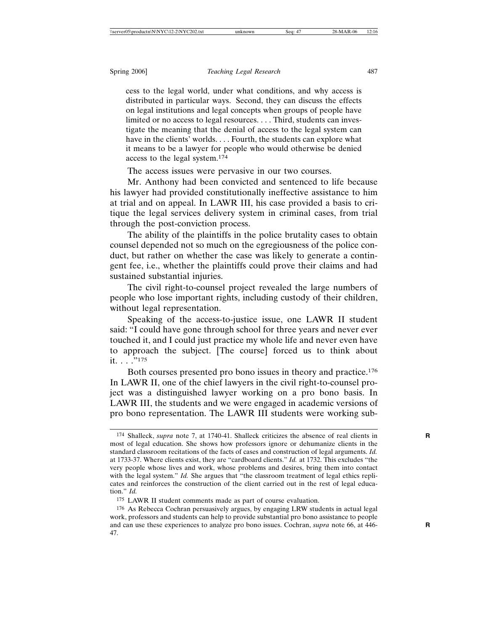cess to the legal world, under what conditions, and why access is distributed in particular ways. Second, they can discuss the effects on legal institutions and legal concepts when groups of people have limited or no access to legal resources. . . . Third, students can investigate the meaning that the denial of access to the legal system can have in the clients' worlds. . . . Fourth, the students can explore what it means to be a lawyer for people who would otherwise be denied access to the legal system.174

The access issues were pervasive in our two courses.

Mr. Anthony had been convicted and sentenced to life because his lawyer had provided constitutionally ineffective assistance to him at trial and on appeal. In LAWR III, his case provided a basis to critique the legal services delivery system in criminal cases, from trial through the post-conviction process.

The ability of the plaintiffs in the police brutality cases to obtain counsel depended not so much on the egregiousness of the police conduct, but rather on whether the case was likely to generate a contingent fee, i.e., whether the plaintiffs could prove their claims and had sustained substantial injuries.

The civil right-to-counsel project revealed the large numbers of people who lose important rights, including custody of their children, without legal representation.

Speaking of the access-to-justice issue, one LAWR II student said: "I could have gone through school for three years and never ever touched it, and I could just practice my whole life and never even have to approach the subject. [The course] forced us to think about it. . . . "175

Both courses presented pro bono issues in theory and practice.176 In LAWR II, one of the chief lawyers in the civil right-to-counsel project was a distinguished lawyer working on a pro bono basis. In LAWR III, the students and we were engaged in academic versions of pro bono representation. The LAWR III students were working sub-

<sup>174</sup> Shalleck, *supra* note 7, at 1740-41. Shalleck criticizes the absence of real clients in **R** most of legal education. She shows how professors ignore or dehumanize clients in the standard classroom recitations of the facts of cases and construction of legal arguments. *Id.* at 1733-37. Where clients exist, they are "cardboard clients." *Id.* at 1732. This excludes "the very people whose lives and work, whose problems and desires, bring them into contact with the legal system." *Id.* She argues that "the classroom treatment of legal ethics replicates and reinforces the construction of the client carried out in the rest of legal education." *Id.*

<sup>175</sup> LAWR II student comments made as part of course evaluation.

<sup>176</sup> As Rebecca Cochran persuasively argues, by engaging LRW students in actual legal work, professors and students can help to provide substantial pro bono assistance to people and can use these experiences to analyze pro bono issues. Cochran, *supra* note 66, at 446- **R** 47.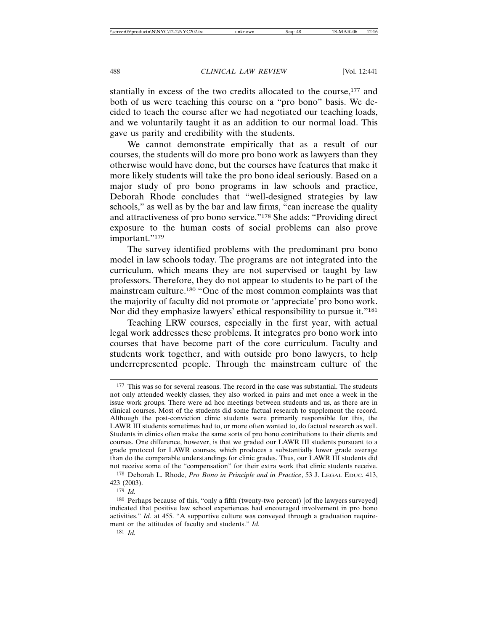stantially in excess of the two credits allocated to the course,177 and both of us were teaching this course on a "pro bono" basis. We decided to teach the course after we had negotiated our teaching loads, and we voluntarily taught it as an addition to our normal load. This gave us parity and credibility with the students.

We cannot demonstrate empirically that as a result of our courses, the students will do more pro bono work as lawyers than they otherwise would have done, but the courses have features that make it more likely students will take the pro bono ideal seriously. Based on a major study of pro bono programs in law schools and practice, Deborah Rhode concludes that "well-designed strategies by law schools," as well as by the bar and law firms, "can increase the quality and attractiveness of pro bono service."178 She adds: "Providing direct exposure to the human costs of social problems can also prove important."179

The survey identified problems with the predominant pro bono model in law schools today. The programs are not integrated into the curriculum, which means they are not supervised or taught by law professors. Therefore, they do not appear to students to be part of the mainstream culture.180 "One of the most common complaints was that the majority of faculty did not promote or 'appreciate' pro bono work. Nor did they emphasize lawyers' ethical responsibility to pursue it."181

Teaching LRW courses, especially in the first year, with actual legal work addresses these problems. It integrates pro bono work into courses that have become part of the core curriculum. Faculty and students work together, and with outside pro bono lawyers, to help underrepresented people. Through the mainstream culture of the

<sup>177</sup> This was so for several reasons. The record in the case was substantial. The students not only attended weekly classes, they also worked in pairs and met once a week in the issue work groups. There were ad hoc meetings between students and us, as there are in clinical courses. Most of the students did some factual research to supplement the record. Although the post-conviction clinic students were primarily responsible for this, the LAWR III students sometimes had to, or more often wanted to, do factual research as well. Students in clinics often make the same sorts of pro bono contributions to their clients and courses. One difference, however, is that we graded our LAWR III students pursuant to a grade protocol for LAWR courses, which produces a substantially lower grade average than do the comparable understandings for clinic grades. Thus, our LAWR III students did not receive some of the "compensation" for their extra work that clinic students receive. 178 Deborah L. Rhode, *Pro Bono in Principle and in Practice*, 53 J. LEGAL EDUC. 413,

<sup>423 (2003).</sup> 179 *Id.*

<sup>180</sup> Perhaps because of this, "only a fifth (twenty-two percent) [of the lawyers surveyed] indicated that positive law school experiences had encouraged involvement in pro bono activities." *Id.* at 455. "A supportive culture was conveyed through a graduation requirement or the attitudes of faculty and students." *Id.*

<sup>181</sup> *Id.*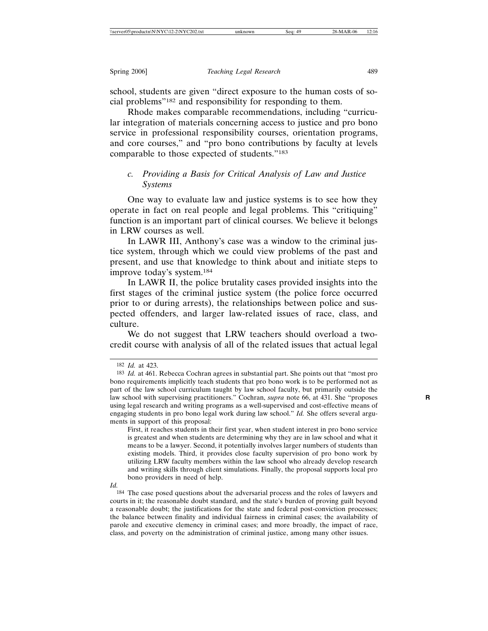school, students are given "direct exposure to the human costs of social problems"182 and responsibility for responding to them.

Rhode makes comparable recommendations, including "curricular integration of materials concerning access to justice and pro bono service in professional responsibility courses, orientation programs, and core courses," and "pro bono contributions by faculty at levels comparable to those expected of students."183

# *c. Providing a Basis for Critical Analysis of Law and Justice Systems*

One way to evaluate law and justice systems is to see how they operate in fact on real people and legal problems. This "critiquing" function is an important part of clinical courses. We believe it belongs in LRW courses as well.

In LAWR III, Anthony's case was a window to the criminal justice system, through which we could view problems of the past and present, and use that knowledge to think about and initiate steps to improve today's system.184

In LAWR II, the police brutality cases provided insights into the first stages of the criminal justice system (the police force occurred prior to or during arrests), the relationships between police and suspected offenders, and larger law-related issues of race, class, and culture.

We do not suggest that LRW teachers should overload a twocredit course with analysis of all of the related issues that actual legal

<sup>182</sup> *Id.* at 423.

<sup>183</sup> *Id.* at 461. Rebecca Cochran agrees in substantial part. She points out that "most pro bono requirements implicitly teach students that pro bono work is to be performed not as part of the law school curriculum taught by law school faculty, but primarily outside the law school with supervising practitioners." Cochran, *supra* note 66, at 431. She "proposes **R** using legal research and writing programs as a well-supervised and cost-effective means of engaging students in pro bono legal work during law school." *Id.* She offers several arguments in support of this proposal:

First, it reaches students in their first year, when student interest in pro bono service is greatest and when students are determining why they are in law school and what it means to be a lawyer. Second, it potentially involves larger numbers of students than existing models. Third, it provides close faculty supervision of pro bono work by utilizing LRW faculty members within the law school who already develop research and writing skills through client simulations. Finally, the proposal supports local pro bono providers in need of help.

*Id.*

<sup>184</sup> The case posed questions about the adversarial process and the roles of lawyers and courts in it; the reasonable doubt standard, and the state's burden of proving guilt beyond a reasonable doubt; the justifications for the state and federal post-conviction processes; the balance between finality and individual fairness in criminal cases; the availability of parole and executive clemency in criminal cases; and more broadly, the impact of race, class, and poverty on the administration of criminal justice, among many other issues.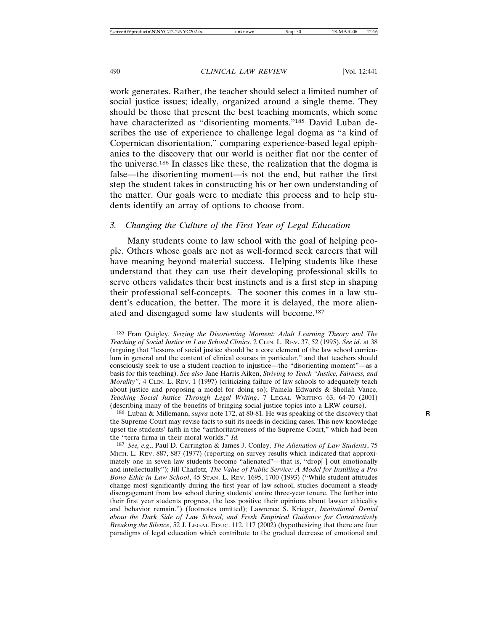work generates. Rather, the teacher should select a limited number of social justice issues; ideally, organized around a single theme. They should be those that present the best teaching moments, which some have characterized as "disorienting moments."185 David Luban describes the use of experience to challenge legal dogma as "a kind of Copernican disorientation," comparing experience-based legal epiphanies to the discovery that our world is neither flat nor the center of the universe.186 In classes like these, the realization that the dogma is false—the disorienting moment—is not the end, but rather the first step the student takes in constructing his or her own understanding of the matter. Our goals were to mediate this process and to help students identify an array of options to choose from.

# *3. Changing the Culture of the First Year of Legal Education*

Many students come to law school with the goal of helping people. Others whose goals are not as well-formed seek careers that will have meaning beyond material success. Helping students like these understand that they can use their developing professional skills to serve others validates their best instincts and is a first step in shaping their professional self-concepts. The sooner this comes in a law student's education, the better. The more it is delayed, the more alienated and disengaged some law students will become.187

187 *See, e.g*., Paul D. Carrington & James J. Conley, *The Alienation of Law Students*, 75 MICH. L. REV. 887, 887 (1977) (reporting on survey results which indicated that approximately one in seven law students become "alienated"—that is, "drop[ ] out emotionally and intellectually"); Jill Chaifetz*, The Value of Public Service: A Model for Instilling a Pro Bono Ethic in Law School*, 45 STAN. L. REV. 1695, 1700 (1993) ("While student attitudes change most significantly during the first year of law school, studies document a steady disengagement from law school during students' entire three-year tenure. The further into their first year students progress, the less positive their opinions about lawyer ethicality and behavior remain.") (footnotes omitted); Lawrence S. Krieger, *Institutional Denial about the Dark Side of Law School, and Fresh Empirical Guidance for Constructively Breaking the Silence*, 52 J. LEGAL EDUC. 112, 117 (2002) (hypothesizing that there are four paradigms of legal education which contribute to the gradual decrease of emotional and

<sup>185</sup> Fran Quigley, *Seizing the Disorienting Moment: Adult Learning Theory and The Teaching of Social Justice in Law School Clinics*, 2 CLIN. L. REV. 37, 52 (1995). *See id*. at 38 (arguing that "lessons of social justice should be a core element of the law school curriculum in general and the content of clinical courses in particular," and that teachers should consciously seek to use a student reaction to injustice—the "disorienting moment"—as a basis for this teaching). *See also* Jane Harris Aiken, *Striving to Teach "Justice, Fairness, and Morality"*, 4 CLIN. L. REV. 1 (1997) (criticizing failure of law schools to adequately teach about justice and proposing a model for doing so); Pamela Edwards & Sheilah Vance, *Teaching Social Justice Through Legal Writing*, 7 LEGAL WRITING 63, 64-70 (2001) (describing many of the benefits of bringing social justice topics into a LRW course).

<sup>186</sup> Luban & Millemann, *supra* note 172, at 80-81. He was speaking of the discovery that **R** the Supreme Court may revise facts to suit its needs in deciding cases. This new knowledge upset the students' faith in the "authoritativeness of the Supreme Court," which had been the "terra firma in their moral worlds." *Id.*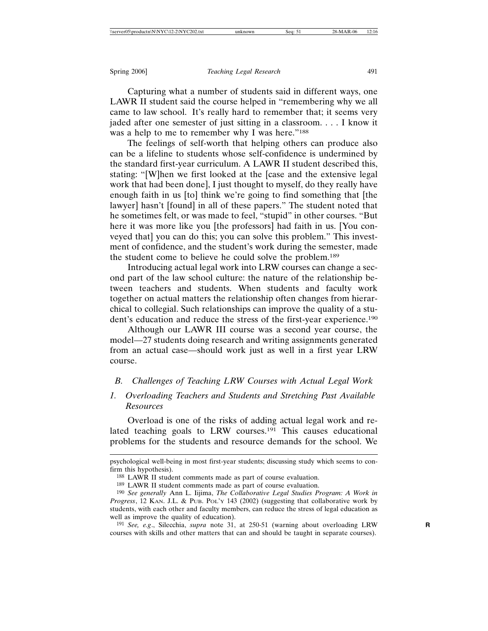Capturing what a number of students said in different ways, one LAWR II student said the course helped in "remembering why we all came to law school. It's really hard to remember that; it seems very jaded after one semester of just sitting in a classroom. . . . I know it was a help to me to remember why I was here."<sup>188</sup>

The feelings of self-worth that helping others can produce also can be a lifeline to students whose self-confidence is undermined by the standard first-year curriculum. A LAWR II student described this, stating: "[W]hen we first looked at the [case and the extensive legal work that had been done], I just thought to myself, do they really have enough faith in us [to] think we're going to find something that [the lawyer] hasn't [found] in all of these papers." The student noted that he sometimes felt, or was made to feel, "stupid" in other courses. "But here it was more like you [the professors] had faith in us. [You conveyed that] you can do this; you can solve this problem." This investment of confidence, and the student's work during the semester, made the student come to believe he could solve the problem.189

Introducing actual legal work into LRW courses can change a second part of the law school culture: the nature of the relationship between teachers and students. When students and faculty work together on actual matters the relationship often changes from hierarchical to collegial. Such relationships can improve the quality of a student's education and reduce the stress of the first-year experience.190

Although our LAWR III course was a second year course, the model—27 students doing research and writing assignments generated from an actual case—should work just as well in a first year LRW course.

# *B. Challenges of Teaching LRW Courses with Actual Legal Work*

# *1. Overloading Teachers and Students and Stretching Past Available Resources*

Overload is one of the risks of adding actual legal work and related teaching goals to LRW courses.<sup>191</sup> This causes educational problems for the students and resource demands for the school. We

psychological well-being in most first-year students; discussing study which seems to confirm this hypothesis).

<sup>188</sup> LAWR II student comments made as part of course evaluation.

<sup>189</sup> LAWR II student comments made as part of course evaluation.

<sup>190</sup> *See generally* Ann L. Iijima, *The Collaborative Legal Studies Program: A Work in Progress*, 12 KAN. J.L. & PUB. POL'Y 143 (2002) (suggesting that collaborative work by students, with each other and faculty members, can reduce the stress of legal education as well as improve the quality of education).

<sup>191</sup> *See, e.g*., Silecchia, *supra* note 31, at 250-51 (warning about overloading LRW **R** courses with skills and other matters that can and should be taught in separate courses).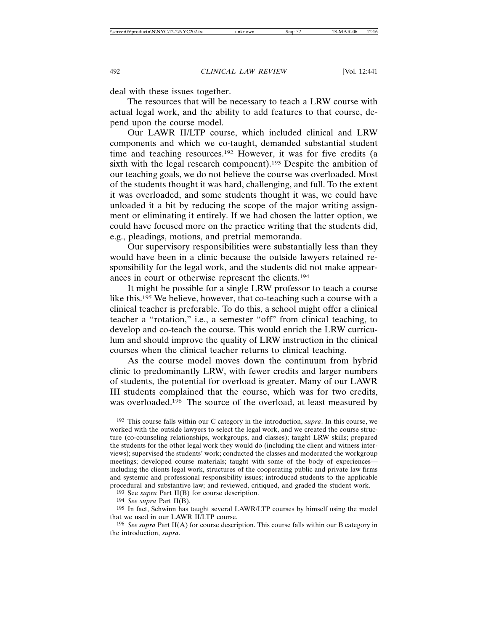deal with these issues together.

The resources that will be necessary to teach a LRW course with actual legal work, and the ability to add features to that course, depend upon the course model.

Our LAWR II/LTP course, which included clinical and LRW components and which we co-taught, demanded substantial student time and teaching resources.192 However, it was for five credits (a sixth with the legal research component).<sup>193</sup> Despite the ambition of our teaching goals, we do not believe the course was overloaded. Most of the students thought it was hard, challenging, and full. To the extent it was overloaded, and some students thought it was, we could have unloaded it a bit by reducing the scope of the major writing assignment or eliminating it entirely. If we had chosen the latter option, we could have focused more on the practice writing that the students did, e.g., pleadings, motions, and pretrial memoranda.

Our supervisory responsibilities were substantially less than they would have been in a clinic because the outside lawyers retained responsibility for the legal work, and the students did not make appearances in court or otherwise represent the clients.194

It might be possible for a single LRW professor to teach a course like this.195 We believe, however, that co-teaching such a course with a clinical teacher is preferable. To do this, a school might offer a clinical teacher a "rotation," i.e., a semester "off" from clinical teaching, to develop and co-teach the course. This would enrich the LRW curriculum and should improve the quality of LRW instruction in the clinical courses when the clinical teacher returns to clinical teaching.

As the course model moves down the continuum from hybrid clinic to predominantly LRW, with fewer credits and larger numbers of students, the potential for overload is greater. Many of our LAWR III students complained that the course, which was for two credits, was overloaded.<sup>196</sup> The source of the overload, at least measured by

<sup>192</sup> This course falls within our C category in the introduction, *supra*. In this course, we worked with the outside lawyers to select the legal work, and we created the course structure (co-counseling relationships, workgroups, and classes); taught LRW skills; prepared the students for the other legal work they would do (including the client and witness interviews); supervised the students' work; conducted the classes and moderated the workgroup meetings; developed course materials; taught with some of the body of experiences including the clients legal work, structures of the cooperating public and private law firms and systemic and professional responsibility issues; introduced students to the applicable procedural and substantive law; and reviewed, critiqued, and graded the student work.

<sup>193</sup> See *supra* Part II(B) for course description.

<sup>194</sup> *See supra* Part II(B).

<sup>195</sup> In fact, Schwinn has taught several LAWR/LTP courses by himself using the model that we used in our LAWR II/LTP course.

<sup>196</sup> *See supra* Part II(A) for course description. This course falls within our B category in the introduction, *supra*.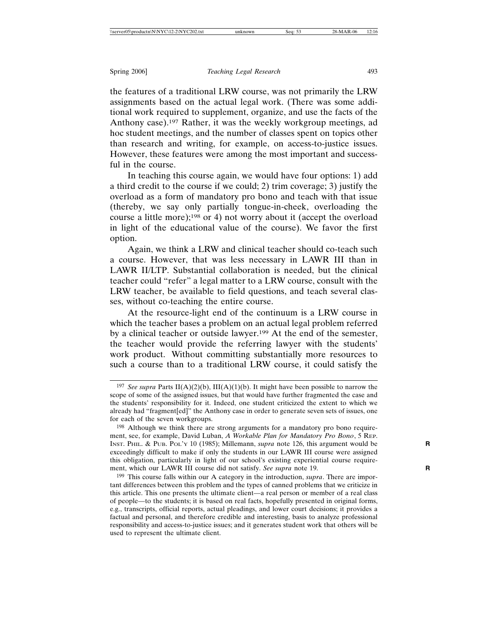the features of a traditional LRW course, was not primarily the LRW assignments based on the actual legal work. (There was some additional work required to supplement, organize, and use the facts of the Anthony case).197 Rather, it was the weekly workgroup meetings, ad hoc student meetings, and the number of classes spent on topics other than research and writing, for example, on access-to-justice issues. However, these features were among the most important and successful in the course.

In teaching this course again, we would have four options: 1) add a third credit to the course if we could; 2) trim coverage; 3) justify the overload as a form of mandatory pro bono and teach with that issue (thereby, we say only partially tongue-in-cheek, overloading the course a little more);198 or 4) not worry about it (accept the overload in light of the educational value of the course). We favor the first option.

Again, we think a LRW and clinical teacher should co-teach such a course. However, that was less necessary in LAWR III than in LAWR II/LTP. Substantial collaboration is needed, but the clinical teacher could "refer" a legal matter to a LRW course, consult with the LRW teacher, be available to field questions, and teach several classes, without co-teaching the entire course.

At the resource-light end of the continuum is a LRW course in which the teacher bases a problem on an actual legal problem referred by a clinical teacher or outside lawyer.199 At the end of the semester, the teacher would provide the referring lawyer with the students' work product. Without committing substantially more resources to such a course than to a traditional LRW course, it could satisfy the

<sup>&</sup>lt;sup>197</sup> *See supra* Parts II(A)(2)(b), III(A)(1)(b). It might have been possible to narrow the scope of some of the assigned issues, but that would have further fragmented the case and the students' responsibility for it. Indeed, one student criticized the extent to which we already had "fragment[ed]" the Anthony case in order to generate seven sets of issues, one for each of the seven workgroups.

<sup>198</sup> Although we think there are strong arguments for a mandatory pro bono requirement, see, for example, David Luban, *A Workable Plan for Mandatory Pro Bono*, 5 REP. INST. PHIL. & PUB. POL'Y 10 (1985); Millemann, *supra* note 126, this argument would be **R** exceedingly difficult to make if only the students in our LAWR III course were assigned this obligation, particularly in light of our school's existing experiential course requirement, which our LAWR III course did not satisfy. *See supra* note 19. **R**

<sup>199</sup> This course falls within our A category in the introduction, *supra*. There are important differences between this problem and the types of canned problems that we criticize in this article. This one presents the ultimate client—a real person or member of a real class of people—to the students; it is based on real facts, hopefully presented in original forms, e.g., transcripts, official reports, actual pleadings, and lower court decisions; it provides a factual and personal, and therefore credible and interesting, basis to analyze professional responsibility and access-to-justice issues; and it generates student work that others will be used to represent the ultimate client.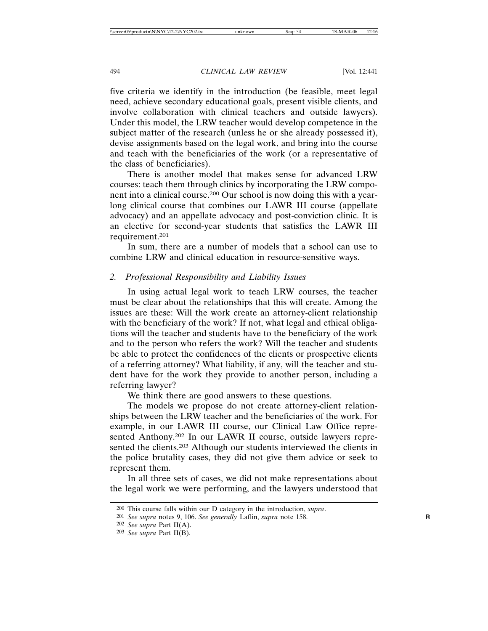five criteria we identify in the introduction (be feasible, meet legal need, achieve secondary educational goals, present visible clients, and involve collaboration with clinical teachers and outside lawyers). Under this model, the LRW teacher would develop competence in the subject matter of the research (unless he or she already possessed it), devise assignments based on the legal work, and bring into the course and teach with the beneficiaries of the work (or a representative of the class of beneficiaries).

There is another model that makes sense for advanced LRW courses: teach them through clinics by incorporating the LRW component into a clinical course.200 Our school is now doing this with a yearlong clinical course that combines our LAWR III course (appellate advocacy) and an appellate advocacy and post-conviction clinic. It is an elective for second-year students that satisfies the LAWR III requirement.201

In sum, there are a number of models that a school can use to combine LRW and clinical education in resource-sensitive ways.

## *2. Professional Responsibility and Liability Issues*

In using actual legal work to teach LRW courses, the teacher must be clear about the relationships that this will create. Among the issues are these: Will the work create an attorney-client relationship with the beneficiary of the work? If not, what legal and ethical obligations will the teacher and students have to the beneficiary of the work and to the person who refers the work? Will the teacher and students be able to protect the confidences of the clients or prospective clients of a referring attorney? What liability, if any, will the teacher and student have for the work they provide to another person, including a referring lawyer?

We think there are good answers to these questions.

The models we propose do not create attorney-client relationships between the LRW teacher and the beneficiaries of the work. For example, in our LAWR III course, our Clinical Law Office represented Anthony.202 In our LAWR II course, outside lawyers represented the clients.<sup>203</sup> Although our students interviewed the clients in the police brutality cases, they did not give them advice or seek to represent them.

In all three sets of cases, we did not make representations about the legal work we were performing, and the lawyers understood that

<sup>200</sup> This course falls within our D category in the introduction, *supra*.

<sup>201</sup> *See supra* notes 9, 106. *See generally* Laflin, *supra* note 158. **R**

<sup>202</sup> *See supra* Part II(A).

<sup>203</sup> *See supra* Part II(B).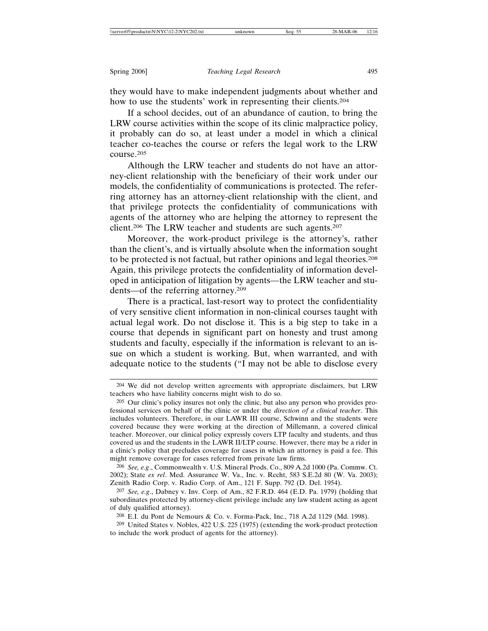they would have to make independent judgments about whether and how to use the students' work in representing their clients.<sup>204</sup>

If a school decides, out of an abundance of caution, to bring the LRW course activities within the scope of its clinic malpractice policy, it probably can do so, at least under a model in which a clinical teacher co-teaches the course or refers the legal work to the LRW course.205

Although the LRW teacher and students do not have an attorney-client relationship with the beneficiary of their work under our models, the confidentiality of communications is protected. The referring attorney has an attorney-client relationship with the client, and that privilege protects the confidentiality of communications with agents of the attorney who are helping the attorney to represent the client.206 The LRW teacher and students are such agents.207

Moreover, the work-product privilege is the attorney's, rather than the client's, and is virtually absolute when the information sought to be protected is not factual, but rather opinions and legal theories.208 Again, this privilege protects the confidentiality of information developed in anticipation of litigation by agents—the LRW teacher and students—of the referring attorney.209

There is a practical, last-resort way to protect the confidentiality of very sensitive client information in non-clinical courses taught with actual legal work. Do not disclose it. This is a big step to take in a course that depends in significant part on honesty and trust among students and faculty, especially if the information is relevant to an issue on which a student is working. But, when warranted, and with adequate notice to the students ("I may not be able to disclose every

206 *See, e.g*., Commonwealth v. U.S. Mineral Prods. Co., 809 A.2d 1000 (Pa. Commw. Ct. 2002); State *ex rel*. Med. Assurance W. Va., Inc. v. Recht, 583 S.E.2d 80 (W. Va. 2003); Zenith Radio Corp. v. Radio Corp. of Am., 121 F. Supp. 792 (D. Del. 1954).

207 *See, e.g*., Dabney v. Inv. Corp. of Am., 82 F.R.D. 464 (E.D. Pa. 1979) (holding that subordinates protected by attorney-client privilege include any law student acting as agent of duly qualified attorney).

208 E.I. du Pont de Nemours & Co. v. Forma-Pack, Inc., 718 A.2d 1129 (Md. 1998).

<sup>204</sup> We did not develop written agreements with appropriate disclaimers, but LRW teachers who have liability concerns might wish to do so.

<sup>205</sup> Our clinic's policy insures not only the clinic, but also any person who provides professional services on behalf of the clinic or under the *direction of a clinical teacher*. This includes volunteers. Therefore, in our LAWR III course, Schwinn and the students were covered because they were working at the direction of Millemann, a covered clinical teacher. Moreover, our clinical policy expressly covers LTP faculty and students, and thus covered us and the students in the LAWR II/LTP course. However, there may be a rider in a clinic's policy that precludes coverage for cases in which an attorney is paid a fee. This might remove coverage for cases referred from private law firms.

<sup>209</sup> United States v. Nobles, 422 U.S. 225 (1975) (extending the work-product protection to include the work product of agents for the attorney).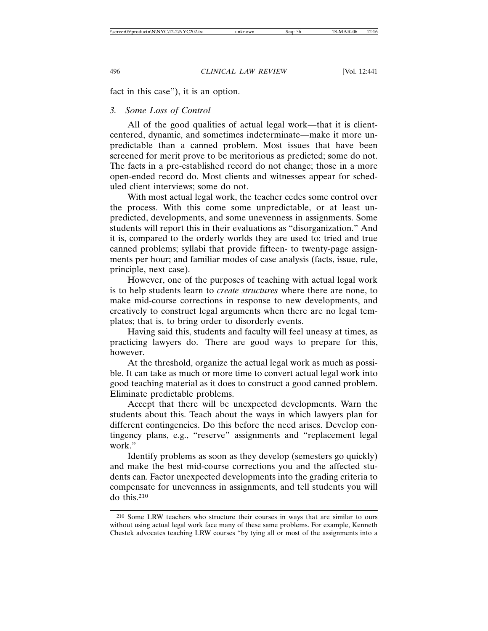fact in this case"), it is an option.

## *3. Some Loss of Control*

All of the good qualities of actual legal work—that it is clientcentered, dynamic, and sometimes indeterminate—make it more unpredictable than a canned problem. Most issues that have been screened for merit prove to be meritorious as predicted; some do not. The facts in a pre-established record do not change; those in a more open-ended record do. Most clients and witnesses appear for scheduled client interviews; some do not.

With most actual legal work, the teacher cedes some control over the process. With this come some unpredictable, or at least unpredicted, developments, and some unevenness in assignments. Some students will report this in their evaluations as "disorganization." And it is, compared to the orderly worlds they are used to: tried and true canned problems; syllabi that provide fifteen- to twenty-page assignments per hour; and familiar modes of case analysis (facts, issue, rule, principle, next case).

However, one of the purposes of teaching with actual legal work is to help students learn to *create structures* where there are none, to make mid-course corrections in response to new developments, and creatively to construct legal arguments when there are no legal templates; that is, to bring order to disorderly events.

Having said this, students and faculty will feel uneasy at times, as practicing lawyers do. There are good ways to prepare for this, however.

At the threshold, organize the actual legal work as much as possible. It can take as much or more time to convert actual legal work into good teaching material as it does to construct a good canned problem. Eliminate predictable problems.

Accept that there will be unexpected developments. Warn the students about this. Teach about the ways in which lawyers plan for different contingencies. Do this before the need arises. Develop contingency plans, e.g., "reserve" assignments and "replacement legal work."

Identify problems as soon as they develop (semesters go quickly) and make the best mid-course corrections you and the affected students can. Factor unexpected developments into the grading criteria to compensate for unevenness in assignments, and tell students you will do this.210

<sup>210</sup> Some LRW teachers who structure their courses in ways that are similar to ours without using actual legal work face many of these same problems. For example, Kenneth Chestek advocates teaching LRW courses "by tying all or most of the assignments into a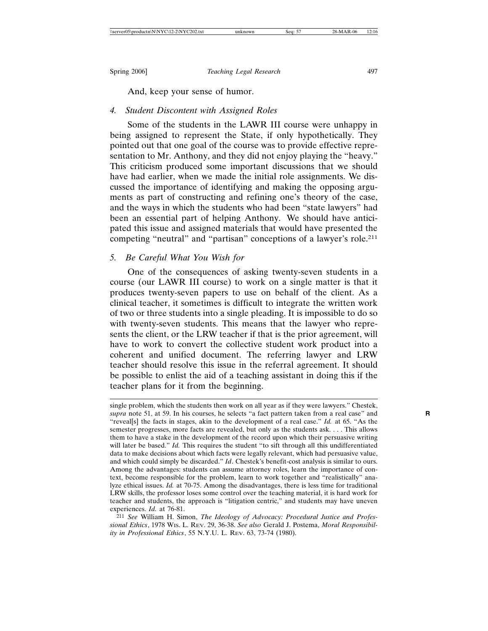And, keep your sense of humor.

## *4. Student Discontent with Assigned Roles*

Some of the students in the LAWR III course were unhappy in being assigned to represent the State, if only hypothetically. They pointed out that one goal of the course was to provide effective representation to Mr. Anthony, and they did not enjoy playing the "heavy." This criticism produced some important discussions that we should have had earlier, when we made the initial role assignments. We discussed the importance of identifying and making the opposing arguments as part of constructing and refining one's theory of the case, and the ways in which the students who had been "state lawyers" had been an essential part of helping Anthony. We should have anticipated this issue and assigned materials that would have presented the competing "neutral" and "partisan" conceptions of a lawyer's role.211

## *5. Be Careful What You Wish for*

One of the consequences of asking twenty-seven students in a course (our LAWR III course) to work on a single matter is that it produces twenty-seven papers to use on behalf of the client. As a clinical teacher, it sometimes is difficult to integrate the written work of two or three students into a single pleading. It is impossible to do so with twenty-seven students. This means that the lawyer who represents the client, or the LRW teacher if that is the prior agreement, will have to work to convert the collective student work product into a coherent and unified document. The referring lawyer and LRW teacher should resolve this issue in the referral agreement. It should be possible to enlist the aid of a teaching assistant in doing this if the teacher plans for it from the beginning.

single problem, which the students then work on all year as if they were lawyers." Chestek, *supra* note 51, at 59. In his courses, he selects "a fact pattern taken from a real case" and **R** "reveal[s] the facts in stages, akin to the development of a real case." *Id.* at 65. "As the semester progresses, more facts are revealed, but only as the students ask. . . . This allows them to have a stake in the development of the record upon which their persuasive writing will later be based." *Id.* This requires the student "to sift through all this undifferentiated data to make decisions about which facts were legally relevant, which had persuasive value, and which could simply be discarded." *Id*. Chestek's benefit-cost analysis is similar to ours. Among the advantages: students can assume attorney roles, learn the importance of context, become responsible for the problem, learn to work together and "realistically" analyze ethical issues. *Id.* at 70-75. Among the disadvantages, there is less time for traditional LRW skills, the professor loses some control over the teaching material, it is hard work for teacher and students, the approach is "litigation centric," and students may have uneven experiences. *Id.* at 76-81.

<sup>211</sup> *See* William H. Simon, *The Ideology of Advocacy: Procedural Justice and Professional Ethics*, 1978 WIS. L. REV. 29, 36-38. *See also* Gerald J. Postema, *Moral Responsibility in Professional Ethics*, 55 N.Y.U. L. REV. 63, 73-74 (1980).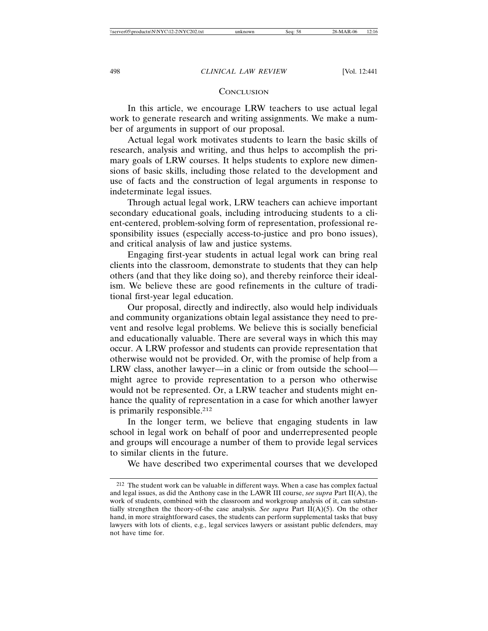## **CONCLUSION**

In this article, we encourage LRW teachers to use actual legal work to generate research and writing assignments. We make a number of arguments in support of our proposal.

Actual legal work motivates students to learn the basic skills of research, analysis and writing, and thus helps to accomplish the primary goals of LRW courses. It helps students to explore new dimensions of basic skills, including those related to the development and use of facts and the construction of legal arguments in response to indeterminate legal issues.

Through actual legal work, LRW teachers can achieve important secondary educational goals, including introducing students to a client-centered, problem-solving form of representation, professional responsibility issues (especially access-to-justice and pro bono issues), and critical analysis of law and justice systems.

Engaging first-year students in actual legal work can bring real clients into the classroom, demonstrate to students that they can help others (and that they like doing so), and thereby reinforce their idealism. We believe these are good refinements in the culture of traditional first-year legal education.

Our proposal, directly and indirectly, also would help individuals and community organizations obtain legal assistance they need to prevent and resolve legal problems. We believe this is socially beneficial and educationally valuable. There are several ways in which this may occur. A LRW professor and students can provide representation that otherwise would not be provided. Or, with the promise of help from a LRW class, another lawyer—in a clinic or from outside the school might agree to provide representation to a person who otherwise would not be represented. Or, a LRW teacher and students might enhance the quality of representation in a case for which another lawyer is primarily responsible.212

In the longer term, we believe that engaging students in law school in legal work on behalf of poor and underrepresented people and groups will encourage a number of them to provide legal services to similar clients in the future.

We have described two experimental courses that we developed

<sup>212</sup> The student work can be valuable in different ways. When a case has complex factual and legal issues, as did the Anthony case in the LAWR III course, *see supra* Part II(A), the work of students, combined with the classroom and workgroup analysis of it, can substantially strengthen the theory-of-the case analysis. *See supra* Part  $II(A)(5)$ . On the other hand, in more straightforward cases, the students can perform supplemental tasks that busy lawyers with lots of clients, e.g., legal services lawyers or assistant public defenders, may not have time for.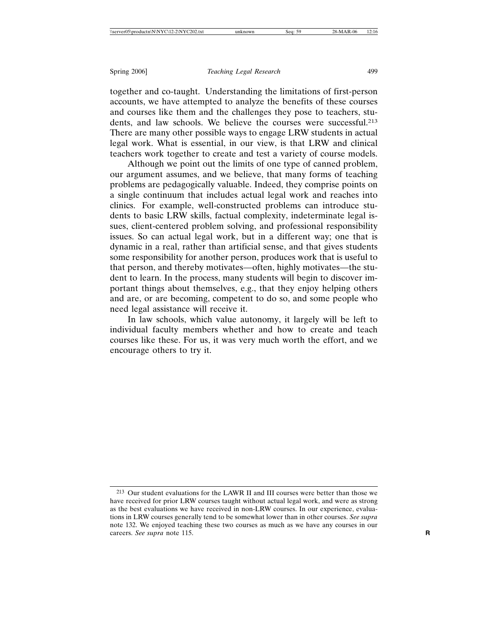together and co-taught. Understanding the limitations of first-person accounts, we have attempted to analyze the benefits of these courses and courses like them and the challenges they pose to teachers, students, and law schools. We believe the courses were successful.<sup>213</sup> There are many other possible ways to engage LRW students in actual legal work. What is essential, in our view, is that LRW and clinical teachers work together to create and test a variety of course models.

Although we point out the limits of one type of canned problem, our argument assumes, and we believe, that many forms of teaching problems are pedagogically valuable. Indeed, they comprise points on a single continuum that includes actual legal work and reaches into clinics. For example, well-constructed problems can introduce students to basic LRW skills, factual complexity, indeterminate legal issues, client-centered problem solving, and professional responsibility issues. So can actual legal work, but in a different way; one that is dynamic in a real, rather than artificial sense, and that gives students some responsibility for another person, produces work that is useful to that person, and thereby motivates—often, highly motivates—the student to learn. In the process, many students will begin to discover important things about themselves, e.g., that they enjoy helping others and are, or are becoming, competent to do so, and some people who need legal assistance will receive it.

In law schools, which value autonomy, it largely will be left to individual faculty members whether and how to create and teach courses like these. For us, it was very much worth the effort, and we encourage others to try it.

<sup>213</sup> Our student evaluations for the LAWR II and III courses were better than those we have received for prior LRW courses taught without actual legal work, and were as strong as the best evaluations we have received in non-LRW courses. In our experience, evaluations in LRW courses generally tend to be somewhat lower than in other courses. *See supra* note 132. We enjoyed teaching these two courses as much as we have any courses in our careers. *See supra* note 115. **R**